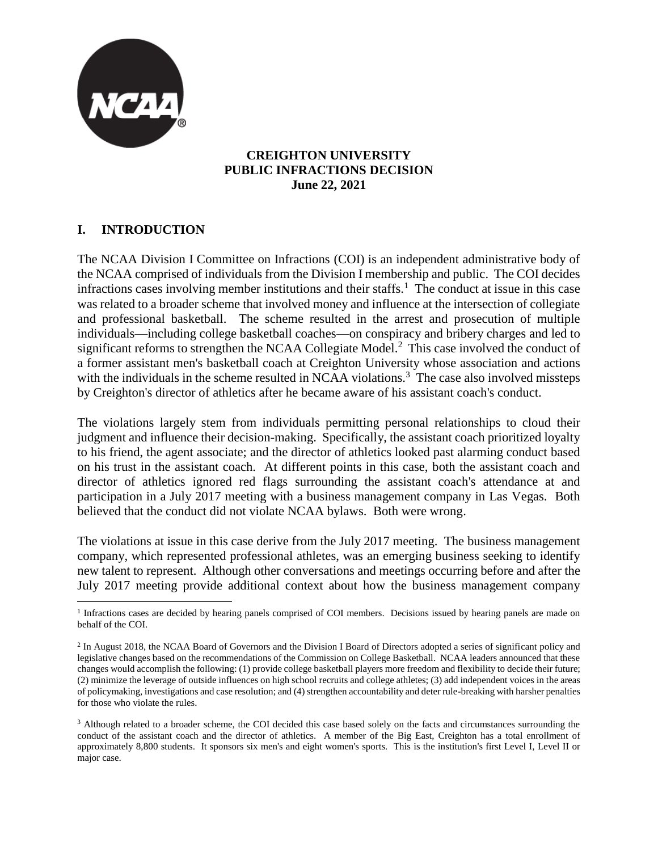

#### **CREIGHTON UNIVERSITY PUBLIC INFRACTIONS DECISION June 22, 2021**

# **I. INTRODUCTION**

The NCAA Division I Committee on Infractions (COI) is an independent administrative body of the NCAA comprised of individuals from the Division I membership and public. The COI decides infractions cases involving member institutions and their staffs.<sup>1</sup> The conduct at issue in this case was related to a broader scheme that involved money and influence at the intersection of collegiate and professional basketball. The scheme resulted in the arrest and prosecution of multiple individuals—including college basketball coaches—on conspiracy and bribery charges and led to significant reforms to strengthen the NCAA Collegiate Model.<sup>2</sup> This case involved the conduct of a former assistant men's basketball coach at Creighton University whose association and actions with the individuals in the scheme resulted in NCAA violations.<sup>3</sup> The case also involved missteps by Creighton's director of athletics after he became aware of his assistant coach's conduct.

The violations largely stem from individuals permitting personal relationships to cloud their judgment and influence their decision-making. Specifically, the assistant coach prioritized loyalty to his friend, the agent associate; and the director of athletics looked past alarming conduct based on his trust in the assistant coach. At different points in this case, both the assistant coach and director of athletics ignored red flags surrounding the assistant coach's attendance at and participation in a July 2017 meeting with a business management company in Las Vegas. Both believed that the conduct did not violate NCAA bylaws. Both were wrong.

The violations at issue in this case derive from the July 2017 meeting. The business management company, which represented professional athletes, was an emerging business seeking to identify new talent to represent. Although other conversations and meetings occurring before and after the July 2017 meeting provide additional context about how the business management company

 $\overline{a}$ <sup>1</sup> Infractions cases are decided by hearing panels comprised of COI members. Decisions issued by hearing panels are made on behalf of the COI.

<sup>&</sup>lt;sup>2</sup> In August 2018, the NCAA Board of Governors and the Division I Board of Directors adopted a series of significant policy and legislative changes based on the recommendations of the Commission on College Basketball. NCAA leaders announced that these changes would accomplish the following: (1) provide college basketball players more freedom and flexibility to decide their future; (2) minimize the leverage of outside influences on high school recruits and college athletes; (3) add independent voices in the areas of policymaking, investigations and case resolution; and (4) strengthen accountability and deter rule-breaking with harsher penalties for those who violate the rules.

<sup>&</sup>lt;sup>3</sup> Although related to a broader scheme, the COI decided this case based solely on the facts and circumstances surrounding the conduct of the assistant coach and the director of athletics. A member of the Big East, Creighton has a total enrollment of approximately 8,800 students. It sponsors six men's and eight women's sports. This is the institution's first Level I, Level II or major case.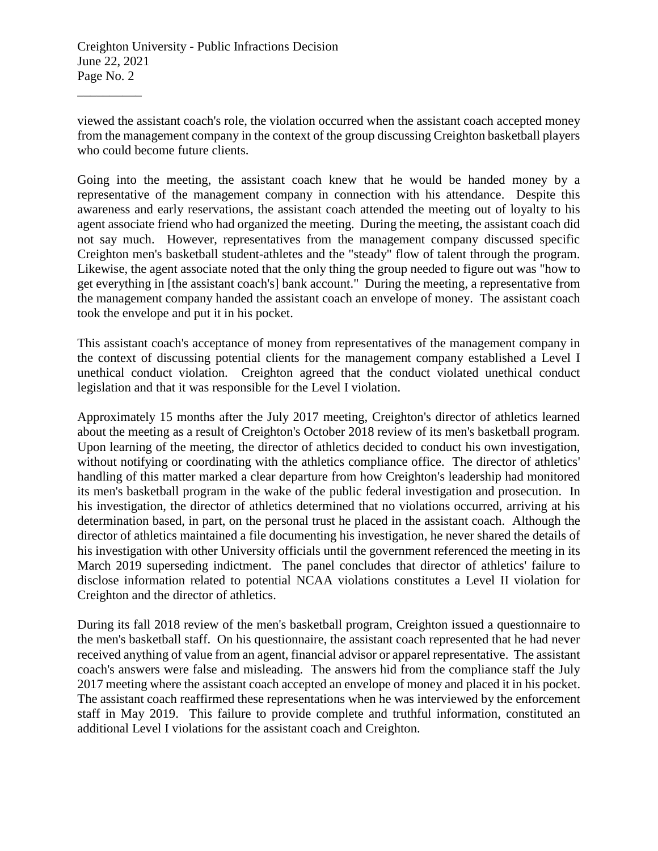viewed the assistant coach's role, the violation occurred when the assistant coach accepted money from the management company in the context of the group discussing Creighton basketball players who could become future clients.

Going into the meeting, the assistant coach knew that he would be handed money by a representative of the management company in connection with his attendance. Despite this awareness and early reservations, the assistant coach attended the meeting out of loyalty to his agent associate friend who had organized the meeting. During the meeting, the assistant coach did not say much. However, representatives from the management company discussed specific Creighton men's basketball student-athletes and the "steady" flow of talent through the program. Likewise, the agent associate noted that the only thing the group needed to figure out was "how to get everything in [the assistant coach's] bank account." During the meeting, a representative from the management company handed the assistant coach an envelope of money. The assistant coach took the envelope and put it in his pocket.

This assistant coach's acceptance of money from representatives of the management company in the context of discussing potential clients for the management company established a Level I unethical conduct violation. Creighton agreed that the conduct violated unethical conduct legislation and that it was responsible for the Level I violation.

Approximately 15 months after the July 2017 meeting, Creighton's director of athletics learned about the meeting as a result of Creighton's October 2018 review of its men's basketball program. Upon learning of the meeting, the director of athletics decided to conduct his own investigation, without notifying or coordinating with the athletics compliance office. The director of athletics' handling of this matter marked a clear departure from how Creighton's leadership had monitored its men's basketball program in the wake of the public federal investigation and prosecution. In his investigation, the director of athletics determined that no violations occurred, arriving at his determination based, in part, on the personal trust he placed in the assistant coach. Although the director of athletics maintained a file documenting his investigation, he never shared the details of his investigation with other University officials until the government referenced the meeting in its March 2019 superseding indictment. The panel concludes that director of athletics' failure to disclose information related to potential NCAA violations constitutes a Level II violation for Creighton and the director of athletics.

During its fall 2018 review of the men's basketball program, Creighton issued a questionnaire to the men's basketball staff. On his questionnaire, the assistant coach represented that he had never received anything of value from an agent, financial advisor or apparel representative. The assistant coach's answers were false and misleading. The answers hid from the compliance staff the July 2017 meeting where the assistant coach accepted an envelope of money and placed it in his pocket. The assistant coach reaffirmed these representations when he was interviewed by the enforcement staff in May 2019. This failure to provide complete and truthful information, constituted an additional Level I violations for the assistant coach and Creighton.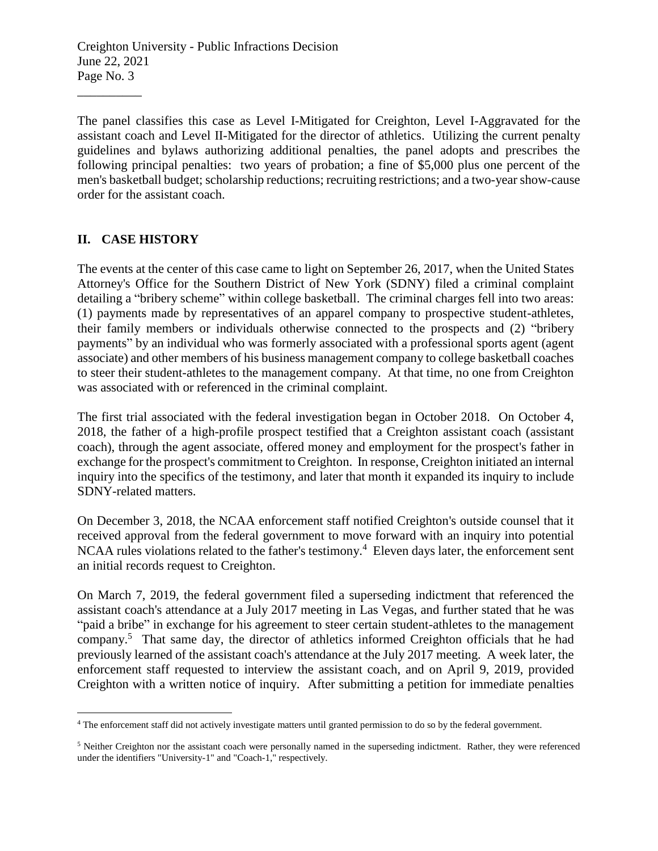The panel classifies this case as Level I-Mitigated for Creighton, Level I-Aggravated for the assistant coach and Level II-Mitigated for the director of athletics. Utilizing the current penalty guidelines and bylaws authorizing additional penalties, the panel adopts and prescribes the following principal penalties: two years of probation; a fine of \$5,000 plus one percent of the men's basketball budget; scholarship reductions; recruiting restrictions; and a two-year show-cause order for the assistant coach.

#### **II. CASE HISTORY**

\_\_\_\_\_\_\_\_\_\_

The events at the center of this case came to light on September 26, 2017, when the United States Attorney's Office for the Southern District of New York (SDNY) filed a criminal complaint detailing a "bribery scheme" within college basketball. The criminal charges fell into two areas: (1) payments made by representatives of an apparel company to prospective student-athletes, their family members or individuals otherwise connected to the prospects and (2) "bribery payments" by an individual who was formerly associated with a professional sports agent (agent associate) and other members of his business management company to college basketball coaches to steer their student-athletes to the management company. At that time, no one from Creighton was associated with or referenced in the criminal complaint.

The first trial associated with the federal investigation began in October 2018. On October 4, 2018, the father of a high-profile prospect testified that a Creighton assistant coach (assistant coach), through the agent associate, offered money and employment for the prospect's father in exchange for the prospect's commitment to Creighton. In response, Creighton initiated an internal inquiry into the specifics of the testimony, and later that month it expanded its inquiry to include SDNY-related matters.

On December 3, 2018, the NCAA enforcement staff notified Creighton's outside counsel that it received approval from the federal government to move forward with an inquiry into potential NCAA rules violations related to the father's testimony.<sup>4</sup> Eleven days later, the enforcement sent an initial records request to Creighton.

On March 7, 2019, the federal government filed a superseding indictment that referenced the assistant coach's attendance at a July 2017 meeting in Las Vegas, and further stated that he was "paid a bribe" in exchange for his agreement to steer certain student-athletes to the management company.<sup>5</sup> That same day, the director of athletics informed Creighton officials that he had previously learned of the assistant coach's attendance at the July 2017 meeting. A week later, the enforcement staff requested to interview the assistant coach, and on April 9, 2019, provided Creighton with a written notice of inquiry. After submitting a petition for immediate penalties

 $\overline{a}$ <sup>4</sup> The enforcement staff did not actively investigate matters until granted permission to do so by the federal government.

<sup>5</sup> Neither Creighton nor the assistant coach were personally named in the superseding indictment. Rather, they were referenced under the identifiers "University-1" and "Coach-1," respectively.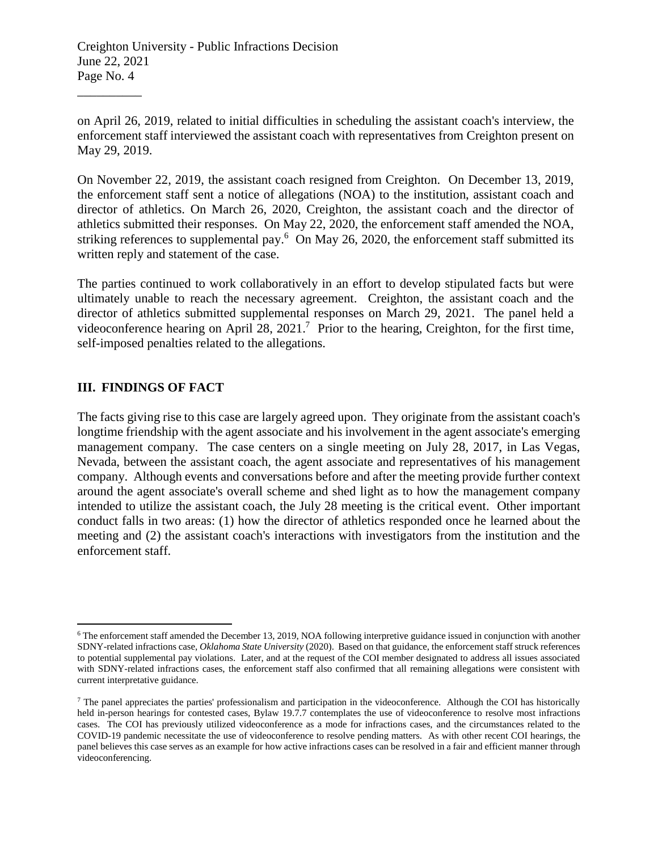on April 26, 2019, related to initial difficulties in scheduling the assistant coach's interview, the enforcement staff interviewed the assistant coach with representatives from Creighton present on May 29, 2019.

On November 22, 2019, the assistant coach resigned from Creighton. On December 13, 2019, the enforcement staff sent a notice of allegations (NOA) to the institution, assistant coach and director of athletics. On March 26, 2020, Creighton, the assistant coach and the director of athletics submitted their responses. On May 22, 2020, the enforcement staff amended the NOA, striking references to supplemental pay.<sup>6</sup> On May 26, 2020, the enforcement staff submitted its written reply and statement of the case.

The parties continued to work collaboratively in an effort to develop stipulated facts but were ultimately unable to reach the necessary agreement. Creighton, the assistant coach and the director of athletics submitted supplemental responses on March 29, 2021. The panel held a videoconference hearing on April 28, 2021.<sup>7</sup> Prior to the hearing, Creighton, for the first time, self-imposed penalties related to the allegations.

### **III. FINDINGS OF FACT**

 $\overline{a}$ 

\_\_\_\_\_\_\_\_\_\_

The facts giving rise to this case are largely agreed upon. They originate from the assistant coach's longtime friendship with the agent associate and his involvement in the agent associate's emerging management company. The case centers on a single meeting on July 28, 2017, in Las Vegas, Nevada, between the assistant coach, the agent associate and representatives of his management company. Although events and conversations before and after the meeting provide further context around the agent associate's overall scheme and shed light as to how the management company intended to utilize the assistant coach, the July 28 meeting is the critical event. Other important conduct falls in two areas: (1) how the director of athletics responded once he learned about the meeting and (2) the assistant coach's interactions with investigators from the institution and the enforcement staff.

<sup>6</sup> The enforcement staff amended the December 13, 2019, NOA following interpretive guidance issued in conjunction with another SDNY-related infractions case, *Oklahoma State University* (2020). Based on that guidance, the enforcement staff struck references to potential supplemental pay violations. Later, and at the request of the COI member designated to address all issues associated with SDNY-related infractions cases, the enforcement staff also confirmed that all remaining allegations were consistent with current interpretative guidance.

<sup>7</sup> The panel appreciates the parties' professionalism and participation in the videoconference. Although the COI has historically held in-person hearings for contested cases, Bylaw 19.7.7 contemplates the use of videoconference to resolve most infractions cases. The COI has previously utilized videoconference as a mode for infractions cases, and the circumstances related to the COVID-19 pandemic necessitate the use of videoconference to resolve pending matters. As with other recent COI hearings, the panel believes this case serves as an example for how active infractions cases can be resolved in a fair and efficient manner through videoconferencing.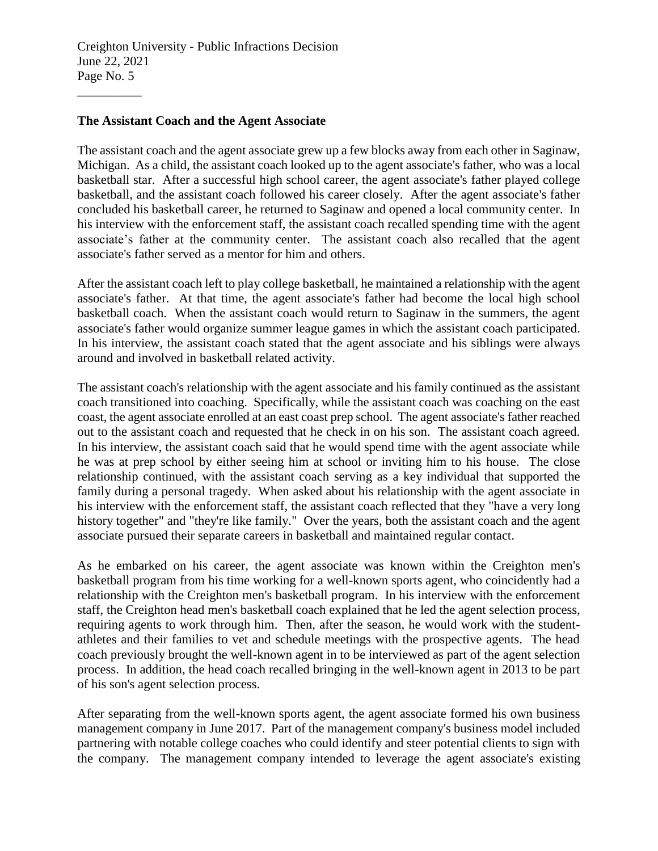#### **The Assistant Coach and the Agent Associate**

\_\_\_\_\_\_\_\_\_\_

The assistant coach and the agent associate grew up a few blocks away from each other in Saginaw, Michigan. As a child, the assistant coach looked up to the agent associate's father, who was a local basketball star. After a successful high school career, the agent associate's father played college basketball, and the assistant coach followed his career closely. After the agent associate's father concluded his basketball career, he returned to Saginaw and opened a local community center. In his interview with the enforcement staff, the assistant coach recalled spending time with the agent associate's father at the community center. The assistant coach also recalled that the agent associate's father served as a mentor for him and others.

After the assistant coach left to play college basketball, he maintained a relationship with the agent associate's father. At that time, the agent associate's father had become the local high school basketball coach. When the assistant coach would return to Saginaw in the summers, the agent associate's father would organize summer league games in which the assistant coach participated. In his interview, the assistant coach stated that the agent associate and his siblings were always around and involved in basketball related activity.

The assistant coach's relationship with the agent associate and his family continued as the assistant coach transitioned into coaching. Specifically, while the assistant coach was coaching on the east coast, the agent associate enrolled at an east coast prep school. The agent associate's father reached out to the assistant coach and requested that he check in on his son. The assistant coach agreed. In his interview, the assistant coach said that he would spend time with the agent associate while he was at prep school by either seeing him at school or inviting him to his house. The close relationship continued, with the assistant coach serving as a key individual that supported the family during a personal tragedy. When asked about his relationship with the agent associate in his interview with the enforcement staff, the assistant coach reflected that they "have a very long history together" and "they're like family." Over the years, both the assistant coach and the agent associate pursued their separate careers in basketball and maintained regular contact.

As he embarked on his career, the agent associate was known within the Creighton men's basketball program from his time working for a well-known sports agent, who coincidently had a relationship with the Creighton men's basketball program. In his interview with the enforcement staff, the Creighton head men's basketball coach explained that he led the agent selection process, requiring agents to work through him. Then, after the season, he would work with the studentathletes and their families to vet and schedule meetings with the prospective agents. The head coach previously brought the well-known agent in to be interviewed as part of the agent selection process. In addition, the head coach recalled bringing in the well-known agent in 2013 to be part of his son's agent selection process.

After separating from the well-known sports agent, the agent associate formed his own business management company in June 2017. Part of the management company's business model included partnering with notable college coaches who could identify and steer potential clients to sign with the company. The management company intended to leverage the agent associate's existing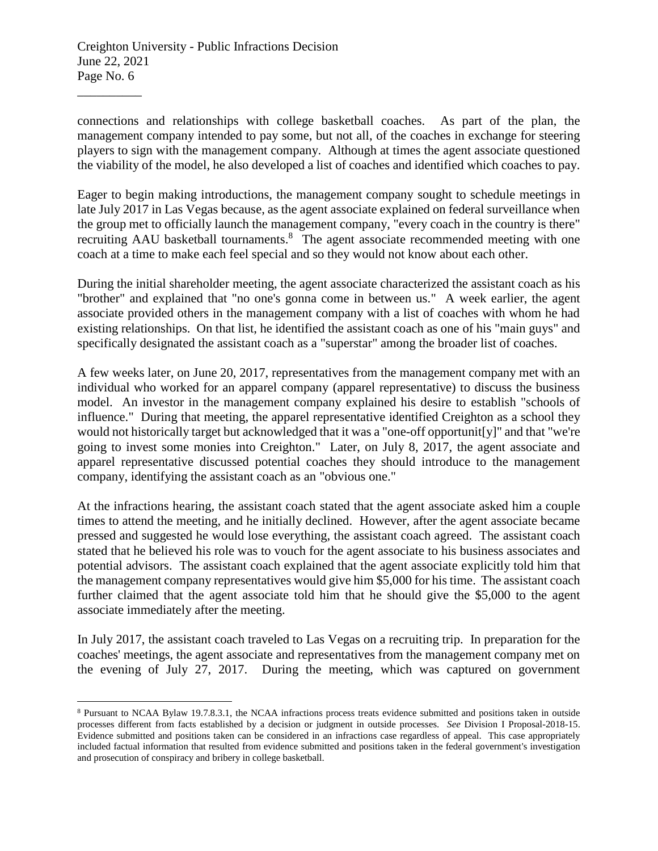$\overline{a}$ 

connections and relationships with college basketball coaches. As part of the plan, the management company intended to pay some, but not all, of the coaches in exchange for steering players to sign with the management company. Although at times the agent associate questioned the viability of the model, he also developed a list of coaches and identified which coaches to pay.

Eager to begin making introductions, the management company sought to schedule meetings in late July 2017 in Las Vegas because, as the agent associate explained on federal surveillance when the group met to officially launch the management company, "every coach in the country is there" recruiting AAU basketball tournaments.<sup>8</sup> The agent associate recommended meeting with one coach at a time to make each feel special and so they would not know about each other.

During the initial shareholder meeting, the agent associate characterized the assistant coach as his "brother" and explained that "no one's gonna come in between us." A week earlier, the agent associate provided others in the management company with a list of coaches with whom he had existing relationships. On that list, he identified the assistant coach as one of his "main guys" and specifically designated the assistant coach as a "superstar" among the broader list of coaches.

A few weeks later, on June 20, 2017, representatives from the management company met with an individual who worked for an apparel company (apparel representative) to discuss the business model. An investor in the management company explained his desire to establish "schools of influence." During that meeting, the apparel representative identified Creighton as a school they would not historically target but acknowledged that it was a "one-off opportunit[y]" and that "we're going to invest some monies into Creighton." Later, on July 8, 2017, the agent associate and apparel representative discussed potential coaches they should introduce to the management company, identifying the assistant coach as an "obvious one."

At the infractions hearing, the assistant coach stated that the agent associate asked him a couple times to attend the meeting, and he initially declined. However, after the agent associate became pressed and suggested he would lose everything, the assistant coach agreed. The assistant coach stated that he believed his role was to vouch for the agent associate to his business associates and potential advisors. The assistant coach explained that the agent associate explicitly told him that the management company representatives would give him \$5,000 for his time. The assistant coach further claimed that the agent associate told him that he should give the \$5,000 to the agent associate immediately after the meeting.

In July 2017, the assistant coach traveled to Las Vegas on a recruiting trip. In preparation for the coaches' meetings, the agent associate and representatives from the management company met on the evening of July 27, 2017. During the meeting, which was captured on government

<sup>8</sup> Pursuant to NCAA Bylaw 19.7.8.3.1, the NCAA infractions process treats evidence submitted and positions taken in outside processes different from facts established by a decision or judgment in outside processes. *See* Division I Proposal-2018-15. Evidence submitted and positions taken can be considered in an infractions case regardless of appeal. This case appropriately included factual information that resulted from evidence submitted and positions taken in the federal government's investigation and prosecution of conspiracy and bribery in college basketball.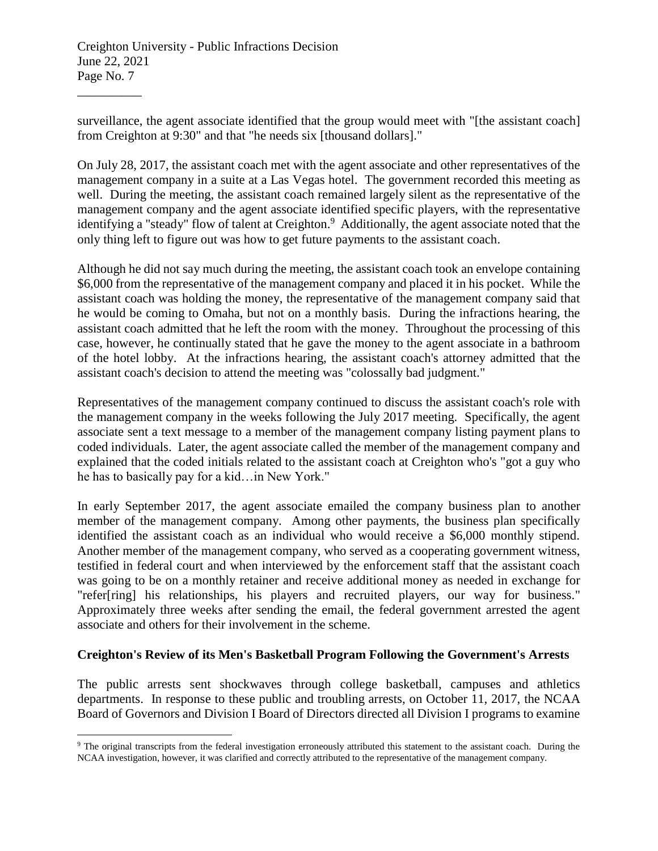$\overline{a}$ 

surveillance, the agent associate identified that the group would meet with "[the assistant coach] from Creighton at 9:30" and that "he needs six [thousand dollars]."

On July 28, 2017, the assistant coach met with the agent associate and other representatives of the management company in a suite at a Las Vegas hotel. The government recorded this meeting as well. During the meeting, the assistant coach remained largely silent as the representative of the management company and the agent associate identified specific players, with the representative identifying a "steady" flow of talent at Creighton.<sup>9</sup> Additionally, the agent associate noted that the only thing left to figure out was how to get future payments to the assistant coach.

Although he did not say much during the meeting, the assistant coach took an envelope containing \$6,000 from the representative of the management company and placed it in his pocket. While the assistant coach was holding the money, the representative of the management company said that he would be coming to Omaha, but not on a monthly basis. During the infractions hearing, the assistant coach admitted that he left the room with the money. Throughout the processing of this case, however, he continually stated that he gave the money to the agent associate in a bathroom of the hotel lobby. At the infractions hearing, the assistant coach's attorney admitted that the assistant coach's decision to attend the meeting was "colossally bad judgment."

Representatives of the management company continued to discuss the assistant coach's role with the management company in the weeks following the July 2017 meeting. Specifically, the agent associate sent a text message to a member of the management company listing payment plans to coded individuals. Later, the agent associate called the member of the management company and explained that the coded initials related to the assistant coach at Creighton who's "got a guy who he has to basically pay for a kid…in New York."

In early September 2017, the agent associate emailed the company business plan to another member of the management company. Among other payments, the business plan specifically identified the assistant coach as an individual who would receive a \$6,000 monthly stipend. Another member of the management company, who served as a cooperating government witness, testified in federal court and when interviewed by the enforcement staff that the assistant coach was going to be on a monthly retainer and receive additional money as needed in exchange for "refer[ring] his relationships, his players and recruited players, our way for business." Approximately three weeks after sending the email, the federal government arrested the agent associate and others for their involvement in the scheme.

### **Creighton's Review of its Men's Basketball Program Following the Government's Arrests**

The public arrests sent shockwaves through college basketball, campuses and athletics departments. In response to these public and troubling arrests, on October 11, 2017, the NCAA Board of Governors and Division I Board of Directors directed all Division I programs to examine

<sup>&</sup>lt;sup>9</sup> The original transcripts from the federal investigation erroneously attributed this statement to the assistant coach. During the NCAA investigation, however, it was clarified and correctly attributed to the representative of the management company.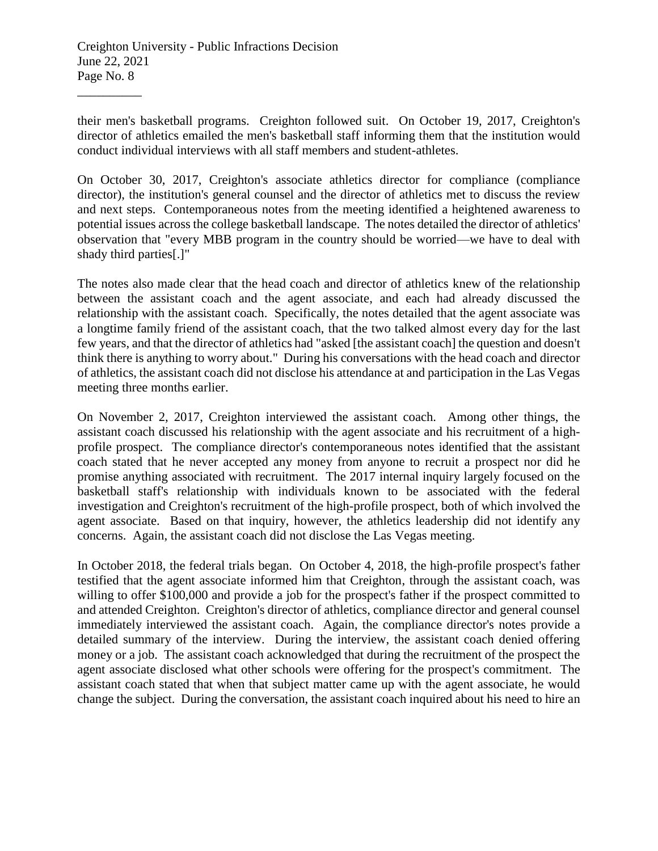their men's basketball programs. Creighton followed suit. On October 19, 2017, Creighton's director of athletics emailed the men's basketball staff informing them that the institution would conduct individual interviews with all staff members and student-athletes.

On October 30, 2017, Creighton's associate athletics director for compliance (compliance director), the institution's general counsel and the director of athletics met to discuss the review and next steps. Contemporaneous notes from the meeting identified a heightened awareness to potential issues across the college basketball landscape. The notes detailed the director of athletics' observation that "every MBB program in the country should be worried—we have to deal with shady third parties[.]"

The notes also made clear that the head coach and director of athletics knew of the relationship between the assistant coach and the agent associate, and each had already discussed the relationship with the assistant coach. Specifically, the notes detailed that the agent associate was a longtime family friend of the assistant coach, that the two talked almost every day for the last few years, and that the director of athletics had "asked [the assistant coach] the question and doesn't think there is anything to worry about." During his conversations with the head coach and director of athletics, the assistant coach did not disclose his attendance at and participation in the Las Vegas meeting three months earlier.

On November 2, 2017, Creighton interviewed the assistant coach. Among other things, the assistant coach discussed his relationship with the agent associate and his recruitment of a highprofile prospect. The compliance director's contemporaneous notes identified that the assistant coach stated that he never accepted any money from anyone to recruit a prospect nor did he promise anything associated with recruitment. The 2017 internal inquiry largely focused on the basketball staff's relationship with individuals known to be associated with the federal investigation and Creighton's recruitment of the high-profile prospect, both of which involved the agent associate. Based on that inquiry, however, the athletics leadership did not identify any concerns. Again, the assistant coach did not disclose the Las Vegas meeting.

In October 2018, the federal trials began. On October 4, 2018, the high-profile prospect's father testified that the agent associate informed him that Creighton, through the assistant coach, was willing to offer \$100,000 and provide a job for the prospect's father if the prospect committed to and attended Creighton. Creighton's director of athletics, compliance director and general counsel immediately interviewed the assistant coach. Again, the compliance director's notes provide a detailed summary of the interview. During the interview, the assistant coach denied offering money or a job. The assistant coach acknowledged that during the recruitment of the prospect the agent associate disclosed what other schools were offering for the prospect's commitment. The assistant coach stated that when that subject matter came up with the agent associate, he would change the subject. During the conversation, the assistant coach inquired about his need to hire an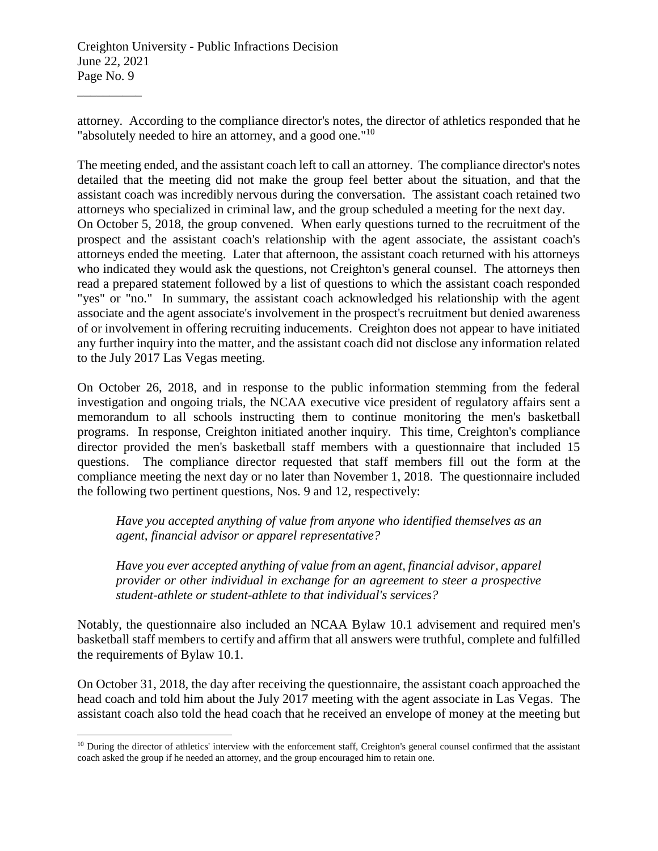\_\_\_\_\_\_\_\_\_\_

 $\overline{a}$ 

attorney. According to the compliance director's notes, the director of athletics responded that he "absolutely needed to hire an attorney, and a good one."<sup>10</sup>

The meeting ended, and the assistant coach left to call an attorney. The compliance director's notes detailed that the meeting did not make the group feel better about the situation, and that the assistant coach was incredibly nervous during the conversation. The assistant coach retained two attorneys who specialized in criminal law, and the group scheduled a meeting for the next day. On October 5, 2018, the group convened. When early questions turned to the recruitment of the prospect and the assistant coach's relationship with the agent associate, the assistant coach's attorneys ended the meeting. Later that afternoon, the assistant coach returned with his attorneys who indicated they would ask the questions, not Creighton's general counsel. The attorneys then read a prepared statement followed by a list of questions to which the assistant coach responded "yes" or "no." In summary, the assistant coach acknowledged his relationship with the agent associate and the agent associate's involvement in the prospect's recruitment but denied awareness of or involvement in offering recruiting inducements. Creighton does not appear to have initiated any further inquiry into the matter, and the assistant coach did not disclose any information related to the July 2017 Las Vegas meeting.

On October 26, 2018, and in response to the public information stemming from the federal investigation and ongoing trials, the NCAA executive vice president of regulatory affairs sent a memorandum to all schools instructing them to continue monitoring the men's basketball programs. In response, Creighton initiated another inquiry. This time, Creighton's compliance director provided the men's basketball staff members with a questionnaire that included 15 questions. The compliance director requested that staff members fill out the form at the compliance meeting the next day or no later than November 1, 2018. The questionnaire included the following two pertinent questions, Nos. 9 and 12, respectively:

*Have you accepted anything of value from anyone who identified themselves as an agent, financial advisor or apparel representative?*

*Have you ever accepted anything of value from an agent, financial advisor, apparel provider or other individual in exchange for an agreement to steer a prospective student-athlete or student-athlete to that individual's services?*

Notably, the questionnaire also included an NCAA Bylaw 10.1 advisement and required men's basketball staff members to certify and affirm that all answers were truthful, complete and fulfilled the requirements of Bylaw 10.1.

On October 31, 2018, the day after receiving the questionnaire, the assistant coach approached the head coach and told him about the July 2017 meeting with the agent associate in Las Vegas. The assistant coach also told the head coach that he received an envelope of money at the meeting but

 $10$  During the director of athletics' interview with the enforcement staff, Creighton's general counsel confirmed that the assistant coach asked the group if he needed an attorney, and the group encouraged him to retain one.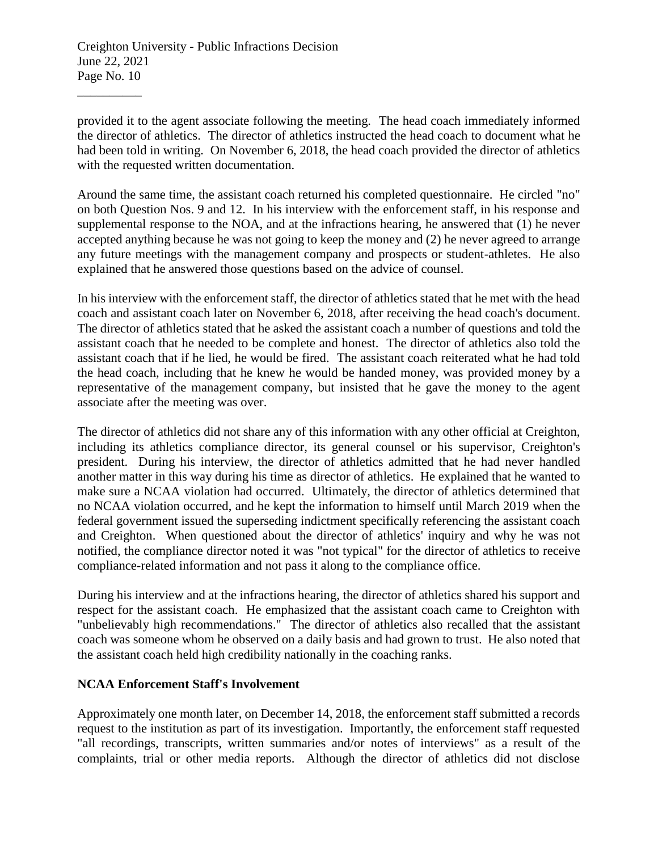\_\_\_\_\_\_\_\_\_\_

provided it to the agent associate following the meeting. The head coach immediately informed the director of athletics. The director of athletics instructed the head coach to document what he had been told in writing. On November 6, 2018, the head coach provided the director of athletics with the requested written documentation.

Around the same time, the assistant coach returned his completed questionnaire. He circled "no" on both Question Nos. 9 and 12. In his interview with the enforcement staff, in his response and supplemental response to the NOA, and at the infractions hearing, he answered that (1) he never accepted anything because he was not going to keep the money and (2) he never agreed to arrange any future meetings with the management company and prospects or student-athletes. He also explained that he answered those questions based on the advice of counsel.

In his interview with the enforcement staff, the director of athletics stated that he met with the head coach and assistant coach later on November 6, 2018, after receiving the head coach's document. The director of athletics stated that he asked the assistant coach a number of questions and told the assistant coach that he needed to be complete and honest. The director of athletics also told the assistant coach that if he lied, he would be fired. The assistant coach reiterated what he had told the head coach, including that he knew he would be handed money, was provided money by a representative of the management company, but insisted that he gave the money to the agent associate after the meeting was over.

The director of athletics did not share any of this information with any other official at Creighton, including its athletics compliance director, its general counsel or his supervisor, Creighton's president. During his interview, the director of athletics admitted that he had never handled another matter in this way during his time as director of athletics. He explained that he wanted to make sure a NCAA violation had occurred. Ultimately, the director of athletics determined that no NCAA violation occurred, and he kept the information to himself until March 2019 when the federal government issued the superseding indictment specifically referencing the assistant coach and Creighton. When questioned about the director of athletics' inquiry and why he was not notified, the compliance director noted it was "not typical" for the director of athletics to receive compliance-related information and not pass it along to the compliance office.

During his interview and at the infractions hearing, the director of athletics shared his support and respect for the assistant coach. He emphasized that the assistant coach came to Creighton with "unbelievably high recommendations." The director of athletics also recalled that the assistant coach was someone whom he observed on a daily basis and had grown to trust. He also noted that the assistant coach held high credibility nationally in the coaching ranks.

#### **NCAA Enforcement Staff's Involvement**

Approximately one month later, on December 14, 2018, the enforcement staff submitted a records request to the institution as part of its investigation. Importantly, the enforcement staff requested "all recordings, transcripts, written summaries and/or notes of interviews" as a result of the complaints, trial or other media reports. Although the director of athletics did not disclose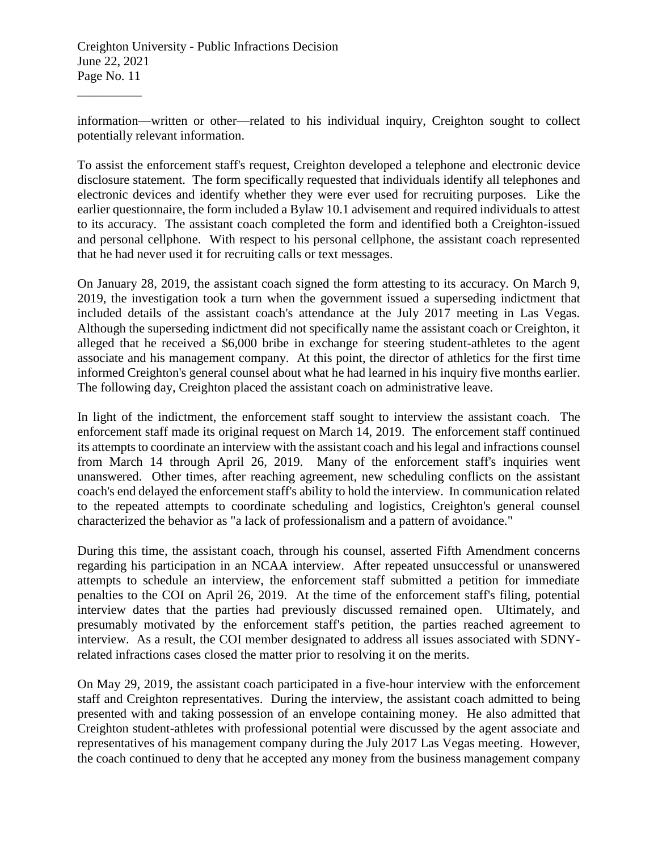information—written or other—related to his individual inquiry, Creighton sought to collect potentially relevant information.

To assist the enforcement staff's request, Creighton developed a telephone and electronic device disclosure statement. The form specifically requested that individuals identify all telephones and electronic devices and identify whether they were ever used for recruiting purposes. Like the earlier questionnaire, the form included a Bylaw 10.1 advisement and required individuals to attest to its accuracy. The assistant coach completed the form and identified both a Creighton-issued and personal cellphone. With respect to his personal cellphone, the assistant coach represented that he had never used it for recruiting calls or text messages.

On January 28, 2019, the assistant coach signed the form attesting to its accuracy. On March 9, 2019, the investigation took a turn when the government issued a superseding indictment that included details of the assistant coach's attendance at the July 2017 meeting in Las Vegas. Although the superseding indictment did not specifically name the assistant coach or Creighton, it alleged that he received a \$6,000 bribe in exchange for steering student-athletes to the agent associate and his management company. At this point, the director of athletics for the first time informed Creighton's general counsel about what he had learned in his inquiry five months earlier. The following day, Creighton placed the assistant coach on administrative leave.

In light of the indictment, the enforcement staff sought to interview the assistant coach. The enforcement staff made its original request on March 14, 2019. The enforcement staff continued its attempts to coordinate an interview with the assistant coach and his legal and infractions counsel from March 14 through April 26, 2019. Many of the enforcement staff's inquiries went unanswered. Other times, after reaching agreement, new scheduling conflicts on the assistant coach's end delayed the enforcement staff's ability to hold the interview. In communication related to the repeated attempts to coordinate scheduling and logistics, Creighton's general counsel characterized the behavior as "a lack of professionalism and a pattern of avoidance."

During this time, the assistant coach, through his counsel, asserted Fifth Amendment concerns regarding his participation in an NCAA interview. After repeated unsuccessful or unanswered attempts to schedule an interview, the enforcement staff submitted a petition for immediate penalties to the COI on April 26, 2019. At the time of the enforcement staff's filing, potential interview dates that the parties had previously discussed remained open. Ultimately, and presumably motivated by the enforcement staff's petition, the parties reached agreement to interview. As a result, the COI member designated to address all issues associated with SDNYrelated infractions cases closed the matter prior to resolving it on the merits.

On May 29, 2019, the assistant coach participated in a five-hour interview with the enforcement staff and Creighton representatives. During the interview, the assistant coach admitted to being presented with and taking possession of an envelope containing money. He also admitted that Creighton student-athletes with professional potential were discussed by the agent associate and representatives of his management company during the July 2017 Las Vegas meeting. However, the coach continued to deny that he accepted any money from the business management company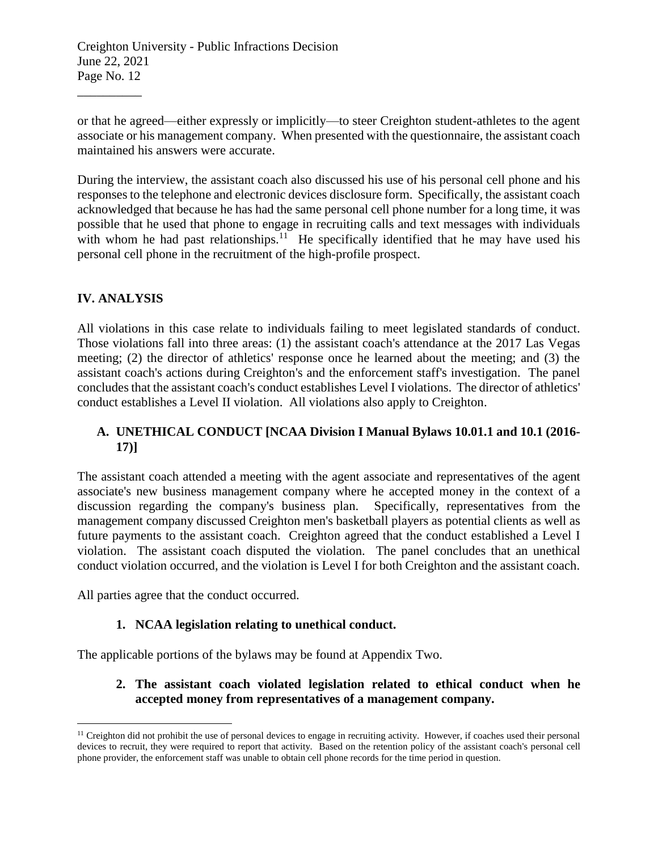or that he agreed—either expressly or implicitly—to steer Creighton student-athletes to the agent associate or his management company. When presented with the questionnaire, the assistant coach maintained his answers were accurate.

During the interview, the assistant coach also discussed his use of his personal cell phone and his responses to the telephone and electronic devices disclosure form. Specifically, the assistant coach acknowledged that because he has had the same personal cell phone number for a long time, it was possible that he used that phone to engage in recruiting calls and text messages with individuals with whom he had past relationships.<sup>11</sup> He specifically identified that he may have used his personal cell phone in the recruitment of the high-profile prospect.

# **IV. ANALYSIS**

 $\overline{a}$ 

\_\_\_\_\_\_\_\_\_\_

All violations in this case relate to individuals failing to meet legislated standards of conduct. Those violations fall into three areas: (1) the assistant coach's attendance at the 2017 Las Vegas meeting; (2) the director of athletics' response once he learned about the meeting; and (3) the assistant coach's actions during Creighton's and the enforcement staff's investigation. The panel concludes that the assistant coach's conduct establishes Level I violations. The director of athletics' conduct establishes a Level II violation. All violations also apply to Creighton.

## **A. UNETHICAL CONDUCT [NCAA Division I Manual Bylaws 10.01.1 and 10.1 (2016- 17)]**

The assistant coach attended a meeting with the agent associate and representatives of the agent associate's new business management company where he accepted money in the context of a discussion regarding the company's business plan. Specifically, representatives from the management company discussed Creighton men's basketball players as potential clients as well as future payments to the assistant coach. Creighton agreed that the conduct established a Level I violation. The assistant coach disputed the violation. The panel concludes that an unethical conduct violation occurred, and the violation is Level I for both Creighton and the assistant coach.

All parties agree that the conduct occurred.

### **1. NCAA legislation relating to unethical conduct.**

The applicable portions of the bylaws may be found at Appendix Two.

# **2. The assistant coach violated legislation related to ethical conduct when he accepted money from representatives of a management company.**

<sup>&</sup>lt;sup>11</sup> Creighton did not prohibit the use of personal devices to engage in recruiting activity. However, if coaches used their personal devices to recruit, they were required to report that activity. Based on the retention policy of the assistant coach's personal cell phone provider, the enforcement staff was unable to obtain cell phone records for the time period in question.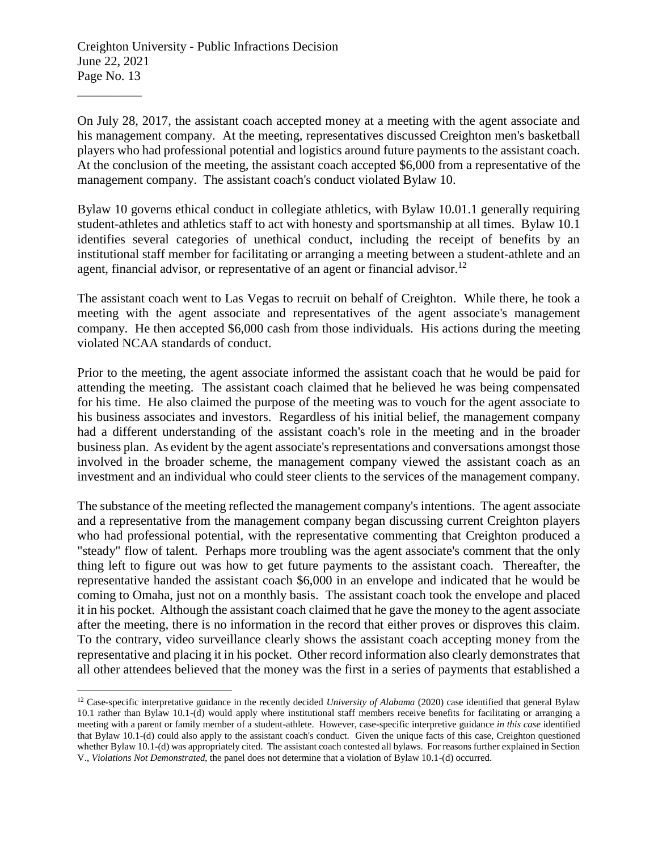$\overline{a}$ 

On July 28, 2017, the assistant coach accepted money at a meeting with the agent associate and his management company. At the meeting, representatives discussed Creighton men's basketball players who had professional potential and logistics around future payments to the assistant coach. At the conclusion of the meeting, the assistant coach accepted \$6,000 from a representative of the management company. The assistant coach's conduct violated Bylaw 10.

Bylaw 10 governs ethical conduct in collegiate athletics, with Bylaw 10.01.1 generally requiring student-athletes and athletics staff to act with honesty and sportsmanship at all times. Bylaw 10.1 identifies several categories of unethical conduct, including the receipt of benefits by an institutional staff member for facilitating or arranging a meeting between a student-athlete and an agent, financial advisor, or representative of an agent or financial advisor.<sup>12</sup>

The assistant coach went to Las Vegas to recruit on behalf of Creighton. While there, he took a meeting with the agent associate and representatives of the agent associate's management company. He then accepted \$6,000 cash from those individuals. His actions during the meeting violated NCAA standards of conduct.

Prior to the meeting, the agent associate informed the assistant coach that he would be paid for attending the meeting. The assistant coach claimed that he believed he was being compensated for his time. He also claimed the purpose of the meeting was to vouch for the agent associate to his business associates and investors. Regardless of his initial belief, the management company had a different understanding of the assistant coach's role in the meeting and in the broader business plan. As evident by the agent associate's representations and conversations amongst those involved in the broader scheme, the management company viewed the assistant coach as an investment and an individual who could steer clients to the services of the management company.

The substance of the meeting reflected the management company's intentions. The agent associate and a representative from the management company began discussing current Creighton players who had professional potential, with the representative commenting that Creighton produced a "steady" flow of talent. Perhaps more troubling was the agent associate's comment that the only thing left to figure out was how to get future payments to the assistant coach. Thereafter, the representative handed the assistant coach \$6,000 in an envelope and indicated that he would be coming to Omaha, just not on a monthly basis. The assistant coach took the envelope and placed it in his pocket. Although the assistant coach claimed that he gave the money to the agent associate after the meeting, there is no information in the record that either proves or disproves this claim. To the contrary, video surveillance clearly shows the assistant coach accepting money from the representative and placing it in his pocket. Other record information also clearly demonstrates that all other attendees believed that the money was the first in a series of payments that established a

<sup>&</sup>lt;sup>12</sup> Case-specific interpretative guidance in the recently decided *University of Alabama* (2020) case identified that general Bylaw 10.1 rather than Bylaw 10.1-(d) would apply where institutional staff members receive benefits for facilitating or arranging a meeting with a parent or family member of a student-athlete. However, case-specific interpretive guidance *in this case* identified that Bylaw 10.1-(d) could also apply to the assistant coach's conduct. Given the unique facts of this case, Creighton questioned whether Bylaw 10.1-(d) was appropriately cited. The assistant coach contested all bylaws. For reasons further explained in Section V., *Violations Not Demonstrated*, the panel does not determine that a violation of Bylaw 10.1-(d) occurred.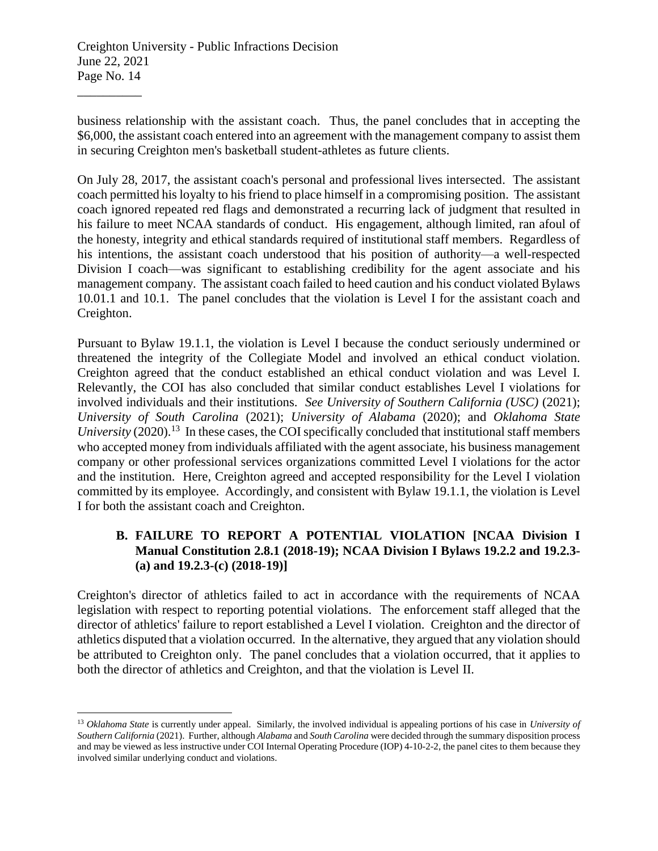$\overline{a}$ 

business relationship with the assistant coach. Thus, the panel concludes that in accepting the \$6,000, the assistant coach entered into an agreement with the management company to assist them in securing Creighton men's basketball student-athletes as future clients.

On July 28, 2017, the assistant coach's personal and professional lives intersected. The assistant coach permitted his loyalty to his friend to place himself in a compromising position. The assistant coach ignored repeated red flags and demonstrated a recurring lack of judgment that resulted in his failure to meet NCAA standards of conduct. His engagement, although limited, ran afoul of the honesty, integrity and ethical standards required of institutional staff members. Regardless of his intentions, the assistant coach understood that his position of authority—a well-respected Division I coach—was significant to establishing credibility for the agent associate and his management company. The assistant coach failed to heed caution and his conduct violated Bylaws 10.01.1 and 10.1. The panel concludes that the violation is Level I for the assistant coach and Creighton.

Pursuant to Bylaw 19.1.1, the violation is Level I because the conduct seriously undermined or threatened the integrity of the Collegiate Model and involved an ethical conduct violation. Creighton agreed that the conduct established an ethical conduct violation and was Level I. Relevantly, the COI has also concluded that similar conduct establishes Level I violations for involved individuals and their institutions. *See University of Southern California (USC)* (2021); *University of South Carolina* (2021); *University of Alabama* (2020); and *Oklahoma State* University (2020).<sup>13</sup> In these cases, the COI specifically concluded that institutional staff members who accepted money from individuals affiliated with the agent associate, his business management company or other professional services organizations committed Level I violations for the actor and the institution. Here, Creighton agreed and accepted responsibility for the Level I violation committed by its employee. Accordingly, and consistent with Bylaw 19.1.1, the violation is Level I for both the assistant coach and Creighton.

## **B. FAILURE TO REPORT A POTENTIAL VIOLATION [NCAA Division I Manual Constitution 2.8.1 (2018-19); NCAA Division I Bylaws 19.2.2 and 19.2.3- (a) and 19.2.3-(c) (2018-19)]**

Creighton's director of athletics failed to act in accordance with the requirements of NCAA legislation with respect to reporting potential violations. The enforcement staff alleged that the director of athletics' failure to report established a Level I violation. Creighton and the director of athletics disputed that a violation occurred. In the alternative, they argued that any violation should be attributed to Creighton only. The panel concludes that a violation occurred, that it applies to both the director of athletics and Creighton, and that the violation is Level II.

<sup>13</sup> *Oklahoma State* is currently under appeal. Similarly, the involved individual is appealing portions of his case in *University of Southern California* (2021). Further, although *Alabama* and *South Carolina* were decided through the summary disposition process and may be viewed as less instructive under COI Internal Operating Procedure (IOP) 4-10-2-2, the panel cites to them because they involved similar underlying conduct and violations.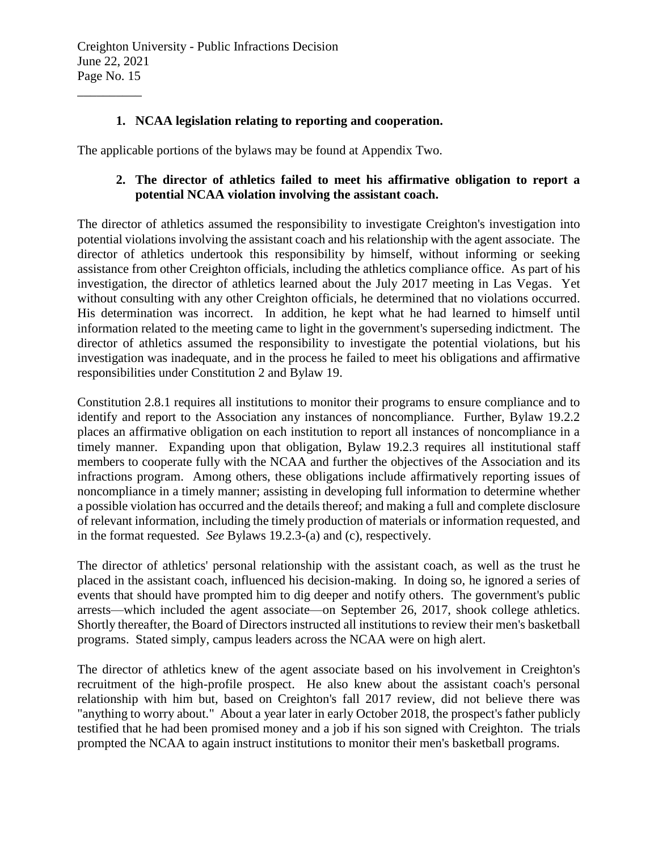## **1. NCAA legislation relating to reporting and cooperation.**

The applicable portions of the bylaws may be found at Appendix Two.

## **2. The director of athletics failed to meet his affirmative obligation to report a potential NCAA violation involving the assistant coach.**

The director of athletics assumed the responsibility to investigate Creighton's investigation into potential violations involving the assistant coach and his relationship with the agent associate. The director of athletics undertook this responsibility by himself, without informing or seeking assistance from other Creighton officials, including the athletics compliance office. As part of his investigation, the director of athletics learned about the July 2017 meeting in Las Vegas. Yet without consulting with any other Creighton officials, he determined that no violations occurred. His determination was incorrect. In addition, he kept what he had learned to himself until information related to the meeting came to light in the government's superseding indictment. The director of athletics assumed the responsibility to investigate the potential violations, but his investigation was inadequate, and in the process he failed to meet his obligations and affirmative responsibilities under Constitution 2 and Bylaw 19.

Constitution 2.8.1 requires all institutions to monitor their programs to ensure compliance and to identify and report to the Association any instances of noncompliance. Further, Bylaw 19.2.2 places an affirmative obligation on each institution to report all instances of noncompliance in a timely manner. Expanding upon that obligation, Bylaw 19.2.3 requires all institutional staff members to cooperate fully with the NCAA and further the objectives of the Association and its infractions program. Among others, these obligations include affirmatively reporting issues of noncompliance in a timely manner; assisting in developing full information to determine whether a possible violation has occurred and the details thereof; and making a full and complete disclosure of relevant information, including the timely production of materials or information requested, and in the format requested. *See* Bylaws 19.2.3-(a) and (c), respectively.

The director of athletics' personal relationship with the assistant coach, as well as the trust he placed in the assistant coach, influenced his decision-making. In doing so, he ignored a series of events that should have prompted him to dig deeper and notify others. The government's public arrests—which included the agent associate—on September 26, 2017, shook college athletics. Shortly thereafter, the Board of Directors instructed all institutions to review their men's basketball programs. Stated simply, campus leaders across the NCAA were on high alert.

The director of athletics knew of the agent associate based on his involvement in Creighton's recruitment of the high-profile prospect. He also knew about the assistant coach's personal relationship with him but, based on Creighton's fall 2017 review, did not believe there was "anything to worry about." About a year later in early October 2018, the prospect's father publicly testified that he had been promised money and a job if his son signed with Creighton. The trials prompted the NCAA to again instruct institutions to monitor their men's basketball programs.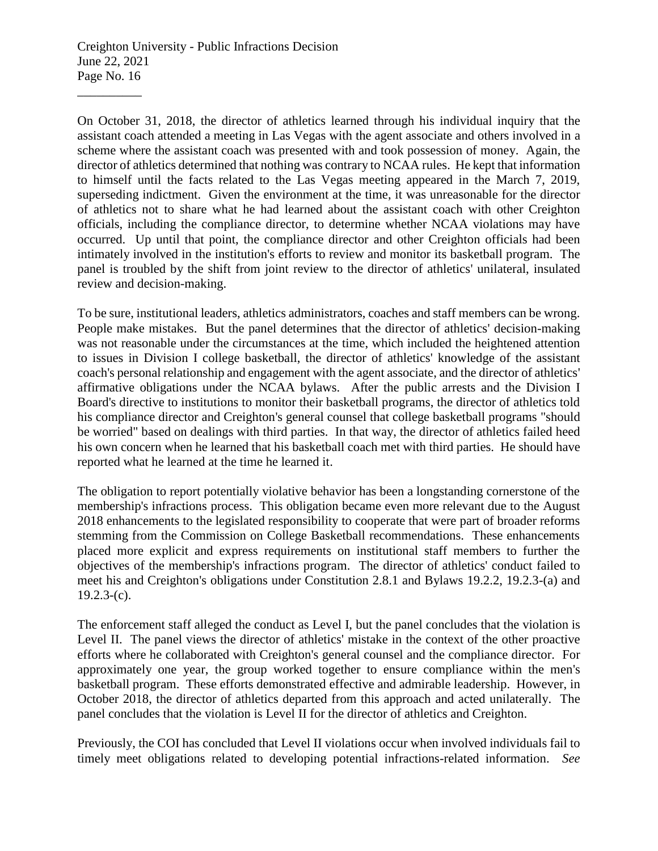On October 31, 2018, the director of athletics learned through his individual inquiry that the assistant coach attended a meeting in Las Vegas with the agent associate and others involved in a scheme where the assistant coach was presented with and took possession of money. Again, the director of athletics determined that nothing was contrary to NCAA rules. He kept that information to himself until the facts related to the Las Vegas meeting appeared in the March 7, 2019, superseding indictment. Given the environment at the time, it was unreasonable for the director of athletics not to share what he had learned about the assistant coach with other Creighton officials, including the compliance director, to determine whether NCAA violations may have occurred. Up until that point, the compliance director and other Creighton officials had been intimately involved in the institution's efforts to review and monitor its basketball program. The panel is troubled by the shift from joint review to the director of athletics' unilateral, insulated review and decision-making.

To be sure, institutional leaders, athletics administrators, coaches and staff members can be wrong. People make mistakes. But the panel determines that the director of athletics' decision-making was not reasonable under the circumstances at the time, which included the heightened attention to issues in Division I college basketball, the director of athletics' knowledge of the assistant coach's personal relationship and engagement with the agent associate, and the director of athletics' affirmative obligations under the NCAA bylaws. After the public arrests and the Division I Board's directive to institutions to monitor their basketball programs, the director of athletics told his compliance director and Creighton's general counsel that college basketball programs "should be worried" based on dealings with third parties. In that way, the director of athletics failed heed his own concern when he learned that his basketball coach met with third parties. He should have reported what he learned at the time he learned it.

The obligation to report potentially violative behavior has been a longstanding cornerstone of the membership's infractions process. This obligation became even more relevant due to the August 2018 enhancements to the legislated responsibility to cooperate that were part of broader reforms stemming from the Commission on College Basketball recommendations. These enhancements placed more explicit and express requirements on institutional staff members to further the objectives of the membership's infractions program. The director of athletics' conduct failed to meet his and Creighton's obligations under Constitution 2.8.1 and Bylaws 19.2.2, 19.2.3-(a) and  $19.2.3-(c)$ .

The enforcement staff alleged the conduct as Level I, but the panel concludes that the violation is Level II. The panel views the director of athletics' mistake in the context of the other proactive efforts where he collaborated with Creighton's general counsel and the compliance director. For approximately one year, the group worked together to ensure compliance within the men's basketball program. These efforts demonstrated effective and admirable leadership. However, in October 2018, the director of athletics departed from this approach and acted unilaterally. The panel concludes that the violation is Level II for the director of athletics and Creighton.

Previously, the COI has concluded that Level II violations occur when involved individuals fail to timely meet obligations related to developing potential infractions-related information. *See*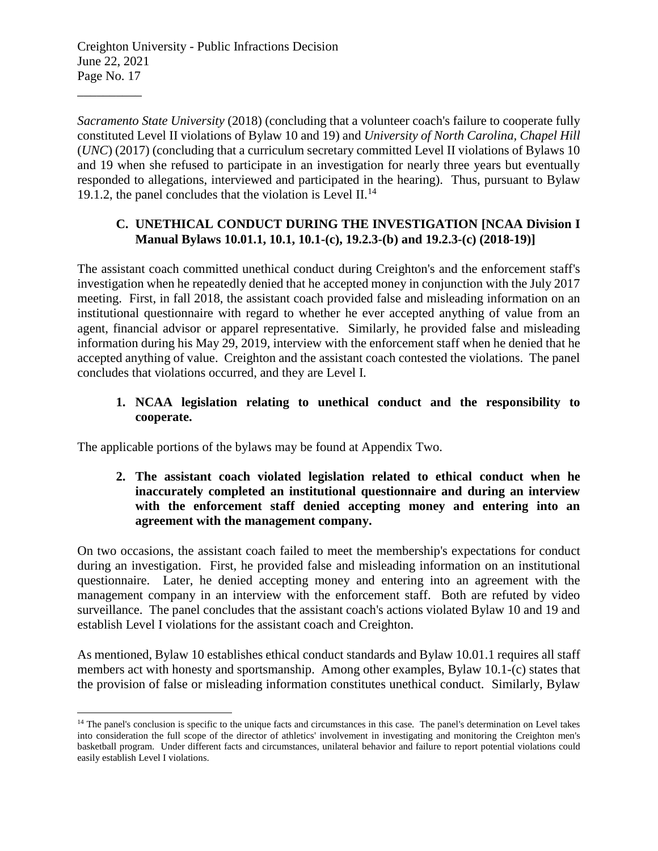\_\_\_\_\_\_\_\_\_\_

 $\overline{a}$ 

*Sacramento State University* (2018) (concluding that a volunteer coach's failure to cooperate fully constituted Level II violations of Bylaw 10 and 19) and *University of North Carolina, Chapel Hill* (*UNC*) (2017) (concluding that a curriculum secretary committed Level II violations of Bylaws 10 and 19 when she refused to participate in an investigation for nearly three years but eventually responded to allegations, interviewed and participated in the hearing). Thus, pursuant to Bylaw 19.1.2, the panel concludes that the violation is Level II.<sup>14</sup>

## **C. UNETHICAL CONDUCT DURING THE INVESTIGATION [NCAA Division I Manual Bylaws 10.01.1, 10.1, 10.1-(c), 19.2.3-(b) and 19.2.3-(c) (2018-19)]**

The assistant coach committed unethical conduct during Creighton's and the enforcement staff's investigation when he repeatedly denied that he accepted money in conjunction with the July 2017 meeting. First, in fall 2018, the assistant coach provided false and misleading information on an institutional questionnaire with regard to whether he ever accepted anything of value from an agent, financial advisor or apparel representative. Similarly, he provided false and misleading information during his May 29, 2019, interview with the enforcement staff when he denied that he accepted anything of value. Creighton and the assistant coach contested the violations. The panel concludes that violations occurred, and they are Level I.

## **1. NCAA legislation relating to unethical conduct and the responsibility to cooperate.**

The applicable portions of the bylaws may be found at Appendix Two.

### **2. The assistant coach violated legislation related to ethical conduct when he inaccurately completed an institutional questionnaire and during an interview with the enforcement staff denied accepting money and entering into an agreement with the management company.**

On two occasions, the assistant coach failed to meet the membership's expectations for conduct during an investigation. First, he provided false and misleading information on an institutional questionnaire. Later, he denied accepting money and entering into an agreement with the management company in an interview with the enforcement staff. Both are refuted by video surveillance. The panel concludes that the assistant coach's actions violated Bylaw 10 and 19 and establish Level I violations for the assistant coach and Creighton.

As mentioned, Bylaw 10 establishes ethical conduct standards and Bylaw 10.01.1 requires all staff members act with honesty and sportsmanship. Among other examples, Bylaw 10.1-(c) states that the provision of false or misleading information constitutes unethical conduct. Similarly, Bylaw

<sup>&</sup>lt;sup>14</sup> The panel's conclusion is specific to the unique facts and circumstances in this case. The panel's determination on Level takes into consideration the full scope of the director of athletics' involvement in investigating and monitoring the Creighton men's basketball program. Under different facts and circumstances, unilateral behavior and failure to report potential violations could easily establish Level I violations.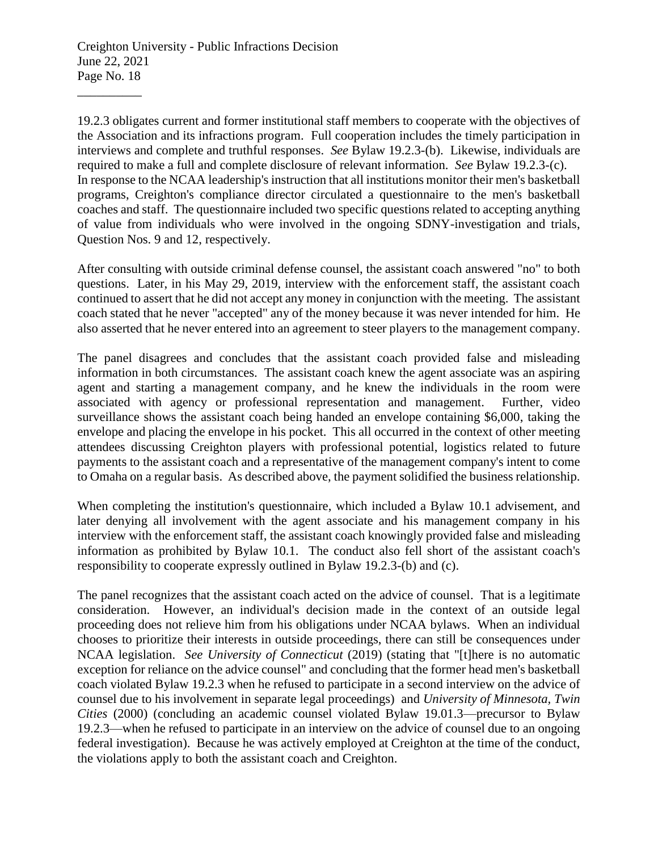19.2.3 obligates current and former institutional staff members to cooperate with the objectives of the Association and its infractions program. Full cooperation includes the timely participation in interviews and complete and truthful responses. *See* Bylaw 19.2.3-(b). Likewise, individuals are required to make a full and complete disclosure of relevant information. *See* Bylaw 19.2.3-(c). In response to the NCAA leadership's instruction that all institutions monitor their men's basketball programs, Creighton's compliance director circulated a questionnaire to the men's basketball coaches and staff. The questionnaire included two specific questions related to accepting anything of value from individuals who were involved in the ongoing SDNY-investigation and trials, Question Nos. 9 and 12, respectively.

After consulting with outside criminal defense counsel, the assistant coach answered "no" to both questions. Later, in his May 29, 2019, interview with the enforcement staff, the assistant coach continued to assert that he did not accept any money in conjunction with the meeting. The assistant coach stated that he never "accepted" any of the money because it was never intended for him. He also asserted that he never entered into an agreement to steer players to the management company.

The panel disagrees and concludes that the assistant coach provided false and misleading information in both circumstances. The assistant coach knew the agent associate was an aspiring agent and starting a management company, and he knew the individuals in the room were associated with agency or professional representation and management. Further, video surveillance shows the assistant coach being handed an envelope containing \$6,000, taking the envelope and placing the envelope in his pocket. This all occurred in the context of other meeting attendees discussing Creighton players with professional potential, logistics related to future payments to the assistant coach and a representative of the management company's intent to come to Omaha on a regular basis. As described above, the payment solidified the business relationship.

When completing the institution's questionnaire, which included a Bylaw 10.1 advisement, and later denying all involvement with the agent associate and his management company in his interview with the enforcement staff, the assistant coach knowingly provided false and misleading information as prohibited by Bylaw 10.1. The conduct also fell short of the assistant coach's responsibility to cooperate expressly outlined in Bylaw 19.2.3-(b) and (c).

The panel recognizes that the assistant coach acted on the advice of counsel. That is a legitimate consideration. However, an individual's decision made in the context of an outside legal proceeding does not relieve him from his obligations under NCAA bylaws. When an individual chooses to prioritize their interests in outside proceedings, there can still be consequences under NCAA legislation. *See University of Connecticut* (2019) (stating that "[t]here is no automatic exception for reliance on the advice counsel" and concluding that the former head men's basketball coach violated Bylaw 19.2.3 when he refused to participate in a second interview on the advice of counsel due to his involvement in separate legal proceedings) and *University of Minnesota, Twin Cities* (2000) (concluding an academic counsel violated Bylaw 19.01.3—precursor to Bylaw 19.2.3—when he refused to participate in an interview on the advice of counsel due to an ongoing federal investigation). Because he was actively employed at Creighton at the time of the conduct, the violations apply to both the assistant coach and Creighton.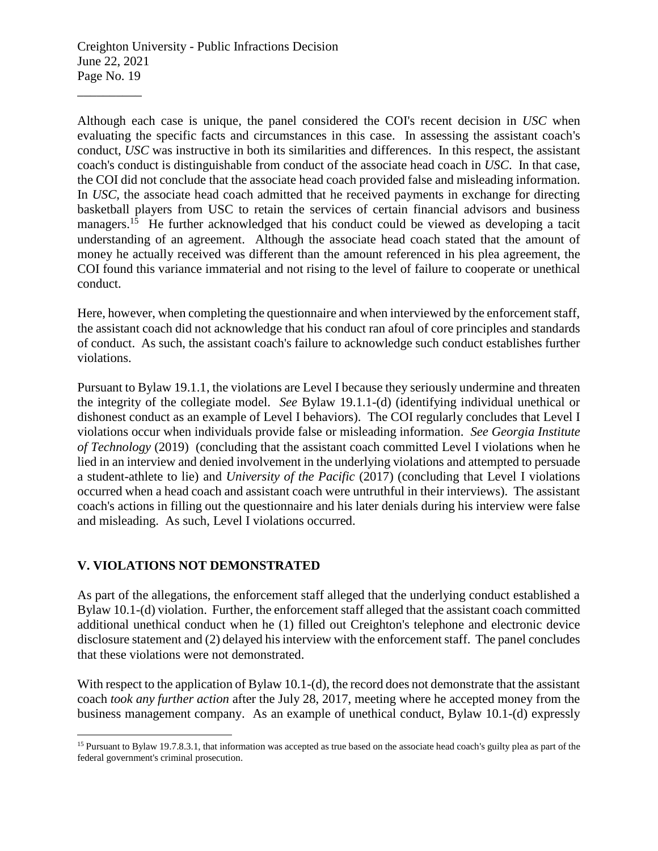Although each case is unique, the panel considered the COI's recent decision in *USC* when evaluating the specific facts and circumstances in this case. In assessing the assistant coach's conduct, *USC* was instructive in both its similarities and differences. In this respect, the assistant coach's conduct is distinguishable from conduct of the associate head coach in *USC*. In that case, the COI did not conclude that the associate head coach provided false and misleading information. In *USC*, the associate head coach admitted that he received payments in exchange for directing basketball players from USC to retain the services of certain financial advisors and business managers.<sup>15</sup> He further acknowledged that his conduct could be viewed as developing a tacit understanding of an agreement. Although the associate head coach stated that the amount of money he actually received was different than the amount referenced in his plea agreement, the COI found this variance immaterial and not rising to the level of failure to cooperate or unethical conduct.

Here, however, when completing the questionnaire and when interviewed by the enforcement staff, the assistant coach did not acknowledge that his conduct ran afoul of core principles and standards of conduct. As such, the assistant coach's failure to acknowledge such conduct establishes further violations.

Pursuant to Bylaw 19.1.1, the violations are Level I because they seriously undermine and threaten the integrity of the collegiate model. *See* Bylaw 19.1.1-(d) (identifying individual unethical or dishonest conduct as an example of Level I behaviors). The COI regularly concludes that Level I violations occur when individuals provide false or misleading information. *See Georgia Institute of Technology* (2019) (concluding that the assistant coach committed Level I violations when he lied in an interview and denied involvement in the underlying violations and attempted to persuade a student-athlete to lie) and *University of the Pacific* (2017) (concluding that Level I violations occurred when a head coach and assistant coach were untruthful in their interviews). The assistant coach's actions in filling out the questionnaire and his later denials during his interview were false and misleading. As such, Level I violations occurred.

### **V. VIOLATIONS NOT DEMONSTRATED**

 $\overline{a}$ 

As part of the allegations, the enforcement staff alleged that the underlying conduct established a Bylaw 10.1-(d) violation. Further, the enforcement staff alleged that the assistant coach committed additional unethical conduct when he (1) filled out Creighton's telephone and electronic device disclosure statement and (2) delayed his interview with the enforcement staff. The panel concludes that these violations were not demonstrated.

With respect to the application of Bylaw 10.1-(d), the record does not demonstrate that the assistant coach *took any further action* after the July 28, 2017, meeting where he accepted money from the business management company. As an example of unethical conduct, Bylaw 10.1-(d) expressly

<sup>&</sup>lt;sup>15</sup> Pursuant to Bylaw 19.7.8.3.1, that information was accepted as true based on the associate head coach's guilty plea as part of the federal government's criminal prosecution.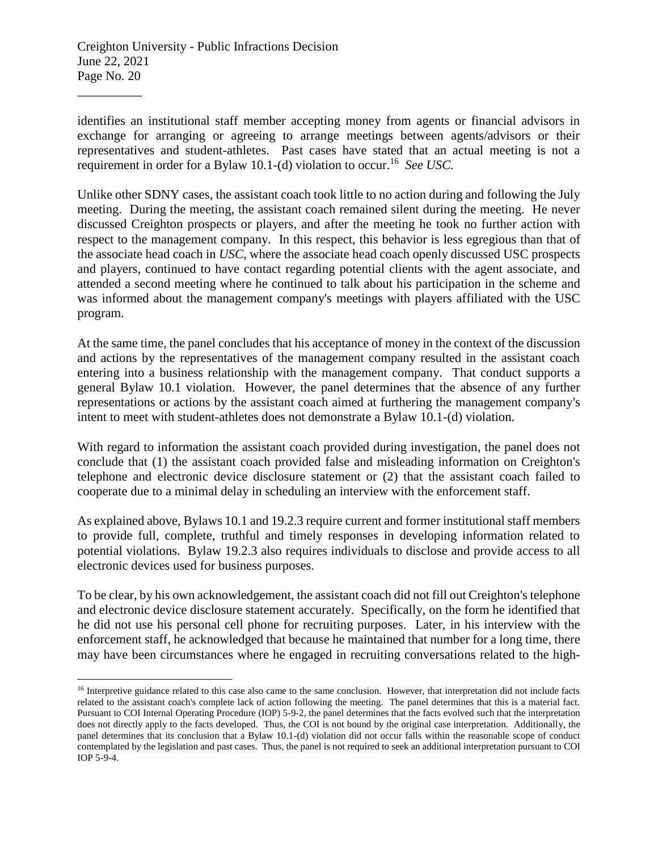$\overline{a}$ 

identifies an institutional staff member accepting money from agents or financial advisors in exchange for arranging or agreeing to arrange meetings between agents/advisors or their representatives and student-athletes. Past cases have stated that an actual meeting is not a requirement in order for a Bylaw 10.1-(d) violation to occur.<sup>16</sup> See USC.

Unlike other SDNY cases, the assistant coach took little to no action during and following the July meeting. During the meeting, the assistant coach remained silent during the meeting. He never discussed Creighton prospects or players, and after the meeting he took no further action with respect to the management company. In this respect, this behavior is less egregious than that of the associate head coach in *USC,* where the associate head coach openly discussed USC prospects and players, continued to have contact regarding potential clients with the agent associate, and attended a second meeting where he continued to talk about his participation in the scheme and was informed about the management company's meetings with players affiliated with the USC program.

At the same time, the panel concludes that his acceptance of money in the context of the discussion and actions by the representatives of the management company resulted in the assistant coach entering into a business relationship with the management company. That conduct supports a general Bylaw 10.1 violation. However, the panel determines that the absence of any further representations or actions by the assistant coach aimed at furthering the management company's intent to meet with student-athletes does not demonstrate a Bylaw 10.1-(d) violation.

With regard to information the assistant coach provided during investigation, the panel does not conclude that (1) the assistant coach provided false and misleading information on Creighton's telephone and electronic device disclosure statement or (2) that the assistant coach failed to cooperate due to a minimal delay in scheduling an interview with the enforcement staff.

As explained above, Bylaws 10.1 and 19.2.3 require current and former institutional staff members to provide full, complete, truthful and timely responses in developing information related to potential violations. Bylaw 19.2.3 also requires individuals to disclose and provide access to all electronic devices used for business purposes.

To be clear, by his own acknowledgement, the assistant coach did not fill out Creighton's telephone and electronic device disclosure statement accurately. Specifically, on the form he identified that he did not use his personal cell phone for recruiting purposes. Later, in his interview with the enforcement staff, he acknowledged that because he maintained that number for a long time, there may have been circumstances where he engaged in recruiting conversations related to the high-

<sup>&</sup>lt;sup>16</sup> Interpretive guidance related to this case also came to the same conclusion. However, that interpretation did not include facts related to the assistant coach's complete lack of action following the meeting. The panel determines that this is a material fact. Pursuant to COI Internal Operating Procedure (IOP) 5-9-2, the panel determines that the facts evolved such that the interpretation does not directly apply to the facts developed. Thus, the COI is not bound by the original case interpretation. Additionally, the panel determines that its conclusion that a Bylaw 10.1-(d) violation did not occur falls within the reasonable scope of conduct contemplated by the legislation and past cases. Thus, the panel is not required to seek an additional interpretation pursuant to COI IOP 5-9-4.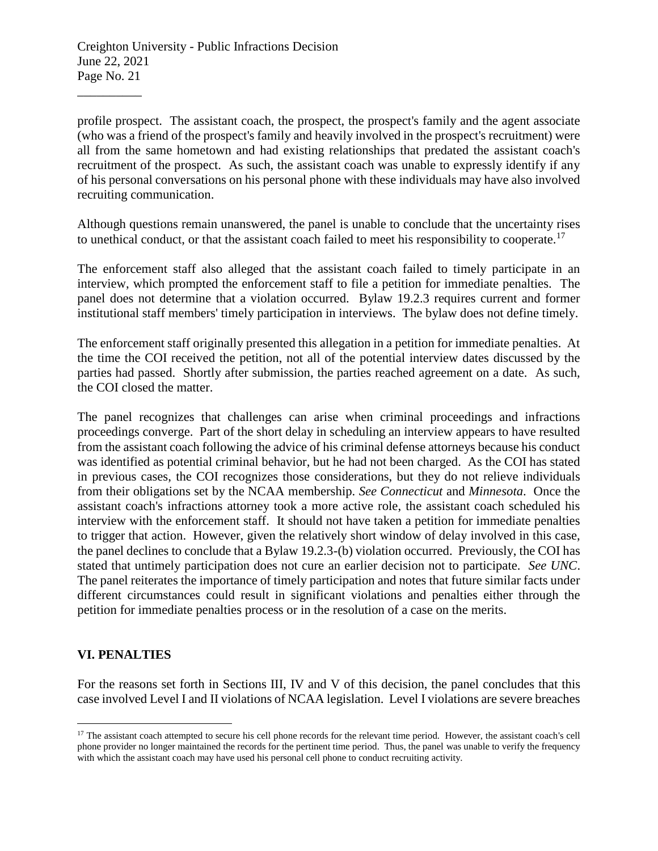profile prospect. The assistant coach, the prospect, the prospect's family and the agent associate (who was a friend of the prospect's family and heavily involved in the prospect's recruitment) were all from the same hometown and had existing relationships that predated the assistant coach's recruitment of the prospect. As such, the assistant coach was unable to expressly identify if any of his personal conversations on his personal phone with these individuals may have also involved recruiting communication.

Although questions remain unanswered, the panel is unable to conclude that the uncertainty rises to unethical conduct, or that the assistant coach failed to meet his responsibility to cooperate.<sup>17</sup>

The enforcement staff also alleged that the assistant coach failed to timely participate in an interview, which prompted the enforcement staff to file a petition for immediate penalties. The panel does not determine that a violation occurred. Bylaw 19.2.3 requires current and former institutional staff members' timely participation in interviews. The bylaw does not define timely.

The enforcement staff originally presented this allegation in a petition for immediate penalties. At the time the COI received the petition, not all of the potential interview dates discussed by the parties had passed. Shortly after submission, the parties reached agreement on a date. As such, the COI closed the matter.

The panel recognizes that challenges can arise when criminal proceedings and infractions proceedings converge. Part of the short delay in scheduling an interview appears to have resulted from the assistant coach following the advice of his criminal defense attorneys because his conduct was identified as potential criminal behavior, but he had not been charged. As the COI has stated in previous cases, the COI recognizes those considerations, but they do not relieve individuals from their obligations set by the NCAA membership. *See Connecticut* and *Minnesota*. Once the assistant coach's infractions attorney took a more active role, the assistant coach scheduled his interview with the enforcement staff. It should not have taken a petition for immediate penalties to trigger that action. However, given the relatively short window of delay involved in this case, the panel declines to conclude that a Bylaw 19.2.3-(b) violation occurred. Previously, the COI has stated that untimely participation does not cure an earlier decision not to participate. *See UNC*. The panel reiterates the importance of timely participation and notes that future similar facts under different circumstances could result in significant violations and penalties either through the petition for immediate penalties process or in the resolution of a case on the merits.

### **VI. PENALTIES**

 $\overline{a}$ 

For the reasons set forth in Sections III, IV and V of this decision, the panel concludes that this case involved Level I and II violations of NCAA legislation. Level I violations are severe breaches

<sup>&</sup>lt;sup>17</sup> The assistant coach attempted to secure his cell phone records for the relevant time period. However, the assistant coach's cell phone provider no longer maintained the records for the pertinent time period. Thus, the panel was unable to verify the frequency with which the assistant coach may have used his personal cell phone to conduct recruiting activity.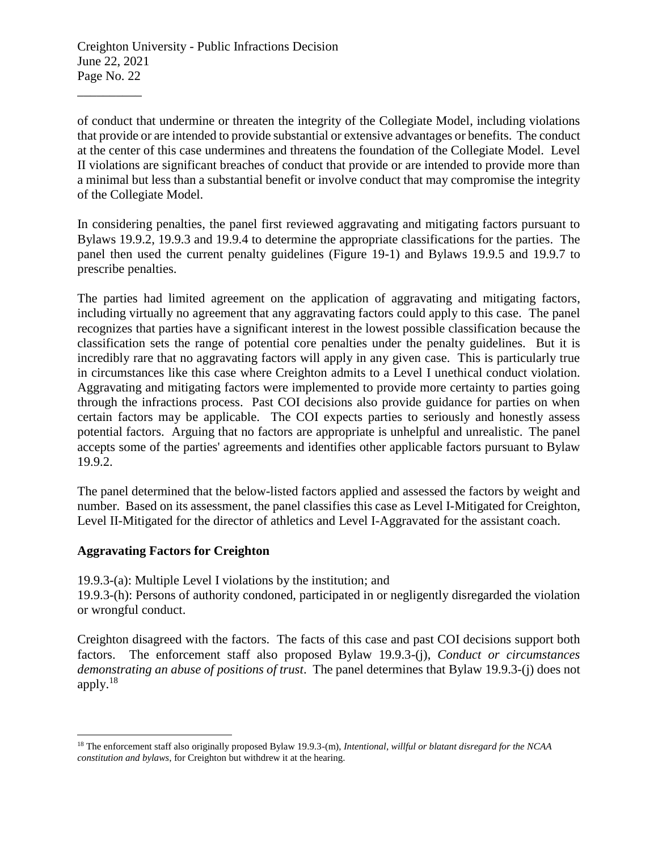of conduct that undermine or threaten the integrity of the Collegiate Model, including violations that provide or are intended to provide substantial or extensive advantages or benefits. The conduct at the center of this case undermines and threatens the foundation of the Collegiate Model. Level II violations are significant breaches of conduct that provide or are intended to provide more than a minimal but less than a substantial benefit or involve conduct that may compromise the integrity of the Collegiate Model.

In considering penalties, the panel first reviewed aggravating and mitigating factors pursuant to Bylaws 19.9.2, 19.9.3 and 19.9.4 to determine the appropriate classifications for the parties. The panel then used the current penalty guidelines (Figure 19-1) and Bylaws 19.9.5 and 19.9.7 to prescribe penalties.

The parties had limited agreement on the application of aggravating and mitigating factors, including virtually no agreement that any aggravating factors could apply to this case. The panel recognizes that parties have a significant interest in the lowest possible classification because the classification sets the range of potential core penalties under the penalty guidelines. But it is incredibly rare that no aggravating factors will apply in any given case. This is particularly true in circumstances like this case where Creighton admits to a Level I unethical conduct violation. Aggravating and mitigating factors were implemented to provide more certainty to parties going through the infractions process. Past COI decisions also provide guidance for parties on when certain factors may be applicable. The COI expects parties to seriously and honestly assess potential factors. Arguing that no factors are appropriate is unhelpful and unrealistic. The panel accepts some of the parties' agreements and identifies other applicable factors pursuant to Bylaw 19.9.2.

The panel determined that the below-listed factors applied and assessed the factors by weight and number. Based on its assessment, the panel classifies this case as Level I-Mitigated for Creighton, Level II-Mitigated for the director of athletics and Level I-Aggravated for the assistant coach.

### **Aggravating Factors for Creighton**

19.9.3-(a): Multiple Level I violations by the institution; and

19.9.3-(h): Persons of authority condoned, participated in or negligently disregarded the violation or wrongful conduct.

Creighton disagreed with the factors. The facts of this case and past COI decisions support both factors. The enforcement staff also proposed Bylaw 19.9.3-(j), *Conduct or circumstances demonstrating an abuse of positions of trust*. The panel determines that Bylaw 19.9.3-(j) does not apply.<sup>18</sup>

 $\overline{a}$ <sup>18</sup> The enforcement staff also originally proposed Bylaw 19.9.3-(m), *Intentional, willful or blatant disregard for the NCAA constitution and bylaws*, for Creighton but withdrew it at the hearing.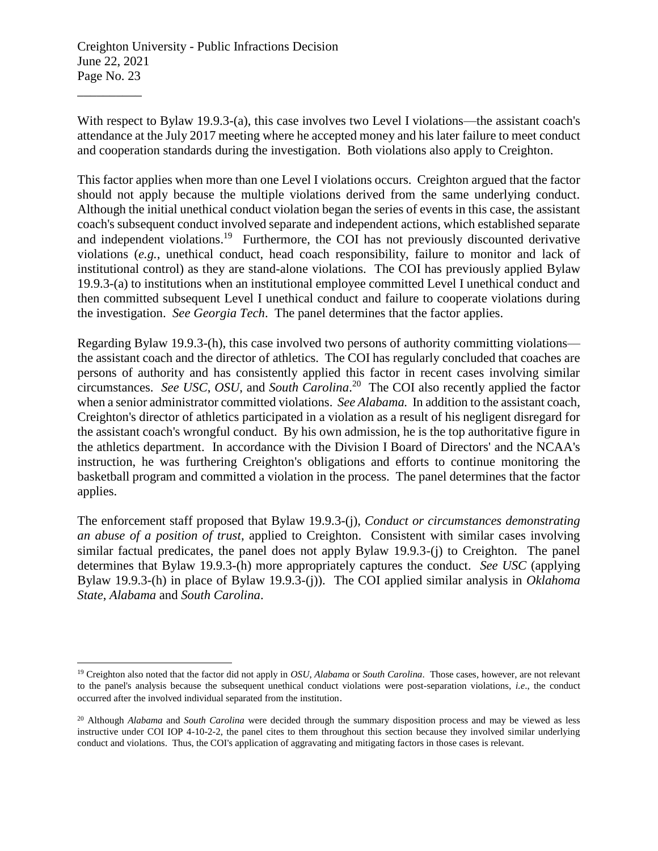$\overline{a}$ 

With respect to Bylaw 19.9.3-(a), this case involves two Level I violations—the assistant coach's attendance at the July 2017 meeting where he accepted money and his later failure to meet conduct and cooperation standards during the investigation. Both violations also apply to Creighton.

This factor applies when more than one Level I violations occurs. Creighton argued that the factor should not apply because the multiple violations derived from the same underlying conduct. Although the initial unethical conduct violation began the series of events in this case, the assistant coach's subsequent conduct involved separate and independent actions, which established separate and independent violations.<sup>19</sup> Furthermore, the COI has not previously discounted derivative violations (*e.g.*, unethical conduct, head coach responsibility, failure to monitor and lack of institutional control) as they are stand-alone violations. The COI has previously applied Bylaw 19.9.3-(a) to institutions when an institutional employee committed Level I unethical conduct and then committed subsequent Level I unethical conduct and failure to cooperate violations during the investigation. *See Georgia Tech*. The panel determines that the factor applies.

Regarding Bylaw 19.9.3-(h), this case involved two persons of authority committing violations the assistant coach and the director of athletics. The COI has regularly concluded that coaches are persons of authority and has consistently applied this factor in recent cases involving similar circumstances. *See USC*, *OSU*, and *South Carolina*. 20 The COI also recently applied the factor when a senior administrator committed violations. *See Alabama.* In addition to the assistant coach, Creighton's director of athletics participated in a violation as a result of his negligent disregard for the assistant coach's wrongful conduct. By his own admission, he is the top authoritative figure in the athletics department. In accordance with the Division I Board of Directors' and the NCAA's instruction, he was furthering Creighton's obligations and efforts to continue monitoring the basketball program and committed a violation in the process. The panel determines that the factor applies.

The enforcement staff proposed that Bylaw 19.9.3-(j), *Conduct or circumstances demonstrating an abuse of a position of trust*, applied to Creighton. Consistent with similar cases involving similar factual predicates, the panel does not apply Bylaw 19.9.3-(j) to Creighton. The panel determines that Bylaw 19.9.3-(h) more appropriately captures the conduct. *See USC* (applying Bylaw 19.9.3-(h) in place of Bylaw 19.9.3-(j)). The COI applied similar analysis in *Oklahoma State*, *Alabama* and *South Carolina*.

<sup>19</sup> Creighton also noted that the factor did not apply in *OSU*, *Alabama* or *South Carolina*. Those cases, however, are not relevant to the panel's analysis because the subsequent unethical conduct violations were post-separation violations, *i.e*., the conduct occurred after the involved individual separated from the institution.

<sup>20</sup> Although *Alabama* and *South Carolina* were decided through the summary disposition process and may be viewed as less instructive under COI IOP 4-10-2-2, the panel cites to them throughout this section because they involved similar underlying conduct and violations. Thus, the COI's application of aggravating and mitigating factors in those cases is relevant.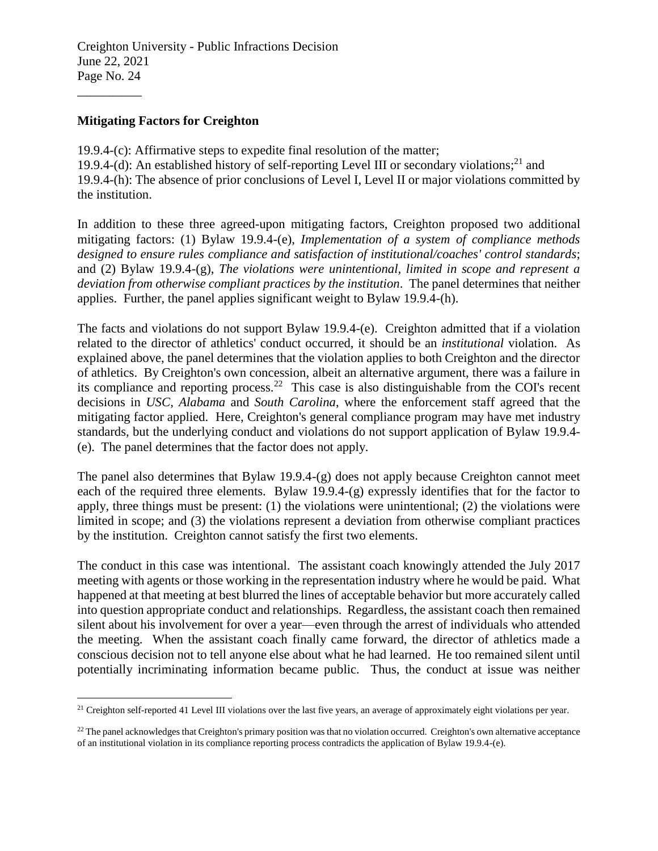#### **Mitigating Factors for Creighton**

\_\_\_\_\_\_\_\_\_\_

 $\overline{a}$ 

19.9.4-(c): Affirmative steps to expedite final resolution of the matter; 19.9.4-(d): An established history of self-reporting Level III or secondary violations;<sup>21</sup> and 19.9.4-(h): The absence of prior conclusions of Level I, Level II or major violations committed by the institution.

In addition to these three agreed-upon mitigating factors, Creighton proposed two additional mitigating factors: (1) Bylaw 19.9.4-(e), *Implementation of a system of compliance methods designed to ensure rules compliance and satisfaction of institutional/coaches' control standards*; and (2) Bylaw 19.9.4-(g), *The violations were unintentional, limited in scope and represent a deviation from otherwise compliant practices by the institution*. The panel determines that neither applies. Further, the panel applies significant weight to Bylaw 19.9.4-(h).

The facts and violations do not support Bylaw 19.9.4-(e). Creighton admitted that if a violation related to the director of athletics' conduct occurred, it should be an *institutional* violation. As explained above, the panel determines that the violation applies to both Creighton and the director of athletics. By Creighton's own concession, albeit an alternative argument, there was a failure in its compliance and reporting process.<sup>22</sup> This case is also distinguishable from the COI's recent decisions in *USC*, *Alabama* and *South Carolina*, where the enforcement staff agreed that the mitigating factor applied. Here, Creighton's general compliance program may have met industry standards, but the underlying conduct and violations do not support application of Bylaw 19.9.4- (e). The panel determines that the factor does not apply.

The panel also determines that Bylaw 19.9.4-(g) does not apply because Creighton cannot meet each of the required three elements. Bylaw 19.9.4-(g) expressly identifies that for the factor to apply, three things must be present: (1) the violations were unintentional; (2) the violations were limited in scope; and (3) the violations represent a deviation from otherwise compliant practices by the institution. Creighton cannot satisfy the first two elements.

The conduct in this case was intentional. The assistant coach knowingly attended the July 2017 meeting with agents or those working in the representation industry where he would be paid. What happened at that meeting at best blurred the lines of acceptable behavior but more accurately called into question appropriate conduct and relationships. Regardless, the assistant coach then remained silent about his involvement for over a year—even through the arrest of individuals who attended the meeting. When the assistant coach finally came forward, the director of athletics made a conscious decision not to tell anyone else about what he had learned. He too remained silent until potentially incriminating information became public. Thus, the conduct at issue was neither

<sup>&</sup>lt;sup>21</sup> Creighton self-reported 41 Level III violations over the last five years, an average of approximately eight violations per year.

<sup>&</sup>lt;sup>22</sup> The panel acknowledges that Creighton's primary position was that no violation occurred. Creighton's own alternative acceptance of an institutional violation in its compliance reporting process contradicts the application of Bylaw 19.9.4-(e).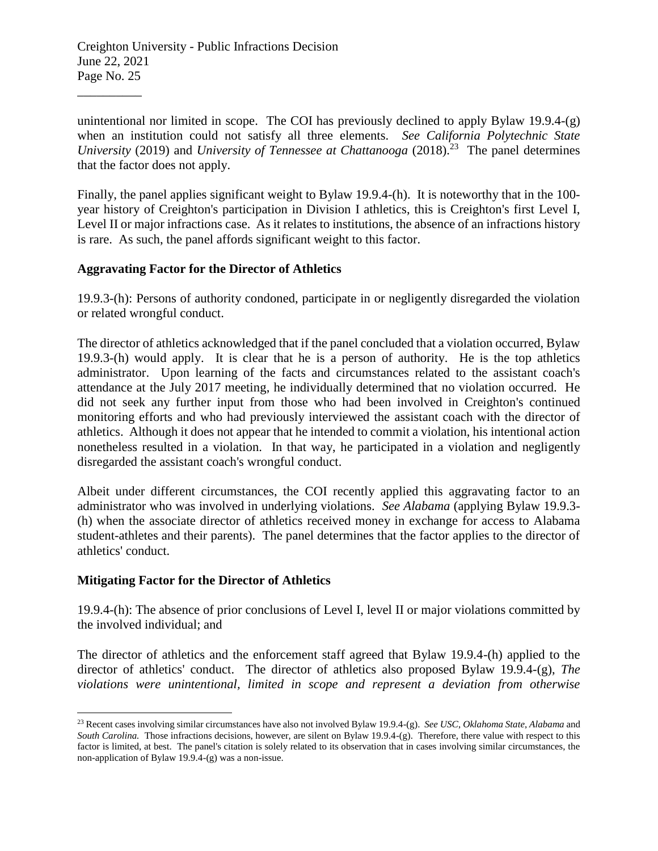\_\_\_\_\_\_\_\_\_\_

unintentional nor limited in scope. The COI has previously declined to apply Bylaw 19.9.4-(g) when an institution could not satisfy all three elements. *See California Polytechnic State*  University (2019) and *University of Tennessee at Chattanooga* (2018).<sup>23</sup> The panel determines that the factor does not apply.

Finally, the panel applies significant weight to Bylaw 19.9.4-(h). It is noteworthy that in the 100 year history of Creighton's participation in Division I athletics, this is Creighton's first Level I, Level II or major infractions case. As it relates to institutions, the absence of an infractions history is rare. As such, the panel affords significant weight to this factor.

### **Aggravating Factor for the Director of Athletics**

19.9.3-(h): Persons of authority condoned, participate in or negligently disregarded the violation or related wrongful conduct.

The director of athletics acknowledged that if the panel concluded that a violation occurred, Bylaw 19.9.3-(h) would apply. It is clear that he is a person of authority. He is the top athletics administrator. Upon learning of the facts and circumstances related to the assistant coach's attendance at the July 2017 meeting, he individually determined that no violation occurred. He did not seek any further input from those who had been involved in Creighton's continued monitoring efforts and who had previously interviewed the assistant coach with the director of athletics. Although it does not appear that he intended to commit a violation, his intentional action nonetheless resulted in a violation. In that way, he participated in a violation and negligently disregarded the assistant coach's wrongful conduct.

Albeit under different circumstances, the COI recently applied this aggravating factor to an administrator who was involved in underlying violations. *See Alabama* (applying Bylaw 19.9.3- (h) when the associate director of athletics received money in exchange for access to Alabama student-athletes and their parents). The panel determines that the factor applies to the director of athletics' conduct.

#### **Mitigating Factor for the Director of Athletics**

 $\overline{a}$ 

19.9.4-(h): The absence of prior conclusions of Level I, level II or major violations committed by the involved individual; and

The director of athletics and the enforcement staff agreed that Bylaw 19.9.4-(h) applied to the director of athletics' conduct. The director of athletics also proposed Bylaw 19.9.4-(g), *The violations were unintentional, limited in scope and represent a deviation from otherwise* 

<sup>23</sup> Recent cases involving similar circumstances have also not involved Bylaw 19.9.4-(g). *See USC*, *Oklahoma State*, *Alabama* and *South Carolina.* Those infractions decisions, however, are silent on Bylaw 19.9.4-(g). Therefore, there value with respect to this factor is limited, at best. The panel's citation is solely related to its observation that in cases involving similar circumstances, the non-application of Bylaw 19.9.4-(g) was a non-issue.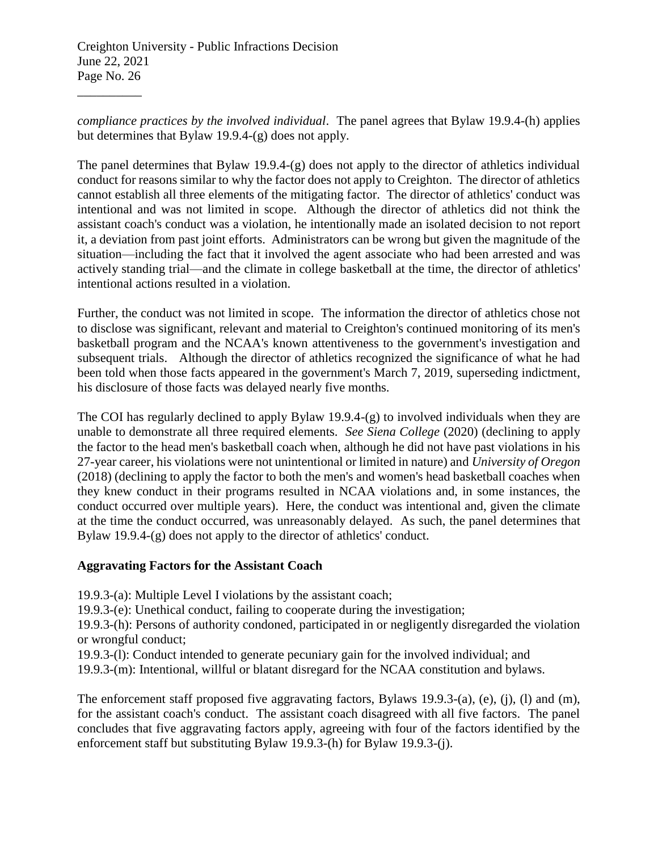\_\_\_\_\_\_\_\_\_\_

*compliance practices by the involved individual*. The panel agrees that Bylaw 19.9.4-(h) applies but determines that Bylaw 19.9.4-(g) does not apply.

The panel determines that Bylaw 19.9.4-(g) does not apply to the director of athletics individual conduct for reasons similar to why the factor does not apply to Creighton. The director of athletics cannot establish all three elements of the mitigating factor. The director of athletics' conduct was intentional and was not limited in scope. Although the director of athletics did not think the assistant coach's conduct was a violation, he intentionally made an isolated decision to not report it, a deviation from past joint efforts. Administrators can be wrong but given the magnitude of the situation—including the fact that it involved the agent associate who had been arrested and was actively standing trial—and the climate in college basketball at the time, the director of athletics' intentional actions resulted in a violation.

Further, the conduct was not limited in scope. The information the director of athletics chose not to disclose was significant, relevant and material to Creighton's continued monitoring of its men's basketball program and the NCAA's known attentiveness to the government's investigation and subsequent trials. Although the director of athletics recognized the significance of what he had been told when those facts appeared in the government's March 7, 2019, superseding indictment, his disclosure of those facts was delayed nearly five months.

The COI has regularly declined to apply Bylaw 19.9.4-(g) to involved individuals when they are unable to demonstrate all three required elements. *See Siena College* (2020) (declining to apply the factor to the head men's basketball coach when, although he did not have past violations in his 27-year career, his violations were not unintentional or limited in nature) and *University of Oregon*  (2018) (declining to apply the factor to both the men's and women's head basketball coaches when they knew conduct in their programs resulted in NCAA violations and, in some instances, the conduct occurred over multiple years). Here, the conduct was intentional and, given the climate at the time the conduct occurred, was unreasonably delayed. As such, the panel determines that Bylaw 19.9.4-(g) does not apply to the director of athletics' conduct.

### **Aggravating Factors for the Assistant Coach**

19.9.3-(a): Multiple Level I violations by the assistant coach;

19.9.3-(e): Unethical conduct, failing to cooperate during the investigation;

19.9.3-(h): Persons of authority condoned, participated in or negligently disregarded the violation or wrongful conduct;

19.9.3-(l): Conduct intended to generate pecuniary gain for the involved individual; and

19.9.3-(m): Intentional, willful or blatant disregard for the NCAA constitution and bylaws.

The enforcement staff proposed five aggravating factors, Bylaws 19.9.3-(a), (e), (j), (l) and (m), for the assistant coach's conduct. The assistant coach disagreed with all five factors. The panel concludes that five aggravating factors apply, agreeing with four of the factors identified by the enforcement staff but substituting Bylaw 19.9.3-(h) for Bylaw 19.9.3-(j).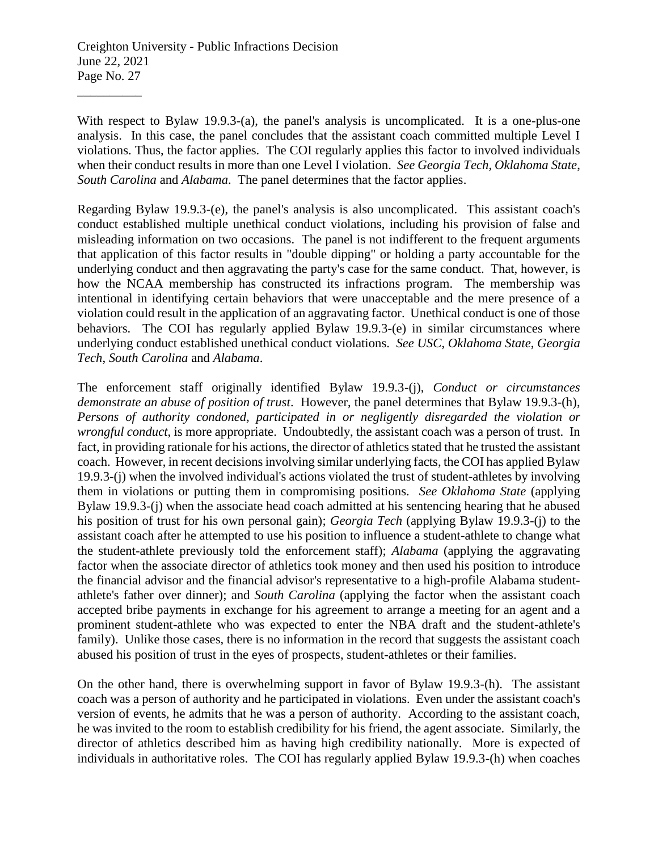With respect to Bylaw 19.9.3-(a), the panel's analysis is uncomplicated. It is a one-plus-one analysis. In this case, the panel concludes that the assistant coach committed multiple Level I violations. Thus, the factor applies. The COI regularly applies this factor to involved individuals when their conduct results in more than one Level I violation. *See Georgia Tech*, *Oklahoma State*, *South Carolina* and *Alabama*. The panel determines that the factor applies.

Regarding Bylaw 19.9.3-(e), the panel's analysis is also uncomplicated. This assistant coach's conduct established multiple unethical conduct violations, including his provision of false and misleading information on two occasions. The panel is not indifferent to the frequent arguments that application of this factor results in "double dipping" or holding a party accountable for the underlying conduct and then aggravating the party's case for the same conduct. That, however, is how the NCAA membership has constructed its infractions program. The membership was intentional in identifying certain behaviors that were unacceptable and the mere presence of a violation could result in the application of an aggravating factor. Unethical conduct is one of those behaviors. The COI has regularly applied Bylaw 19.9.3-(e) in similar circumstances where underlying conduct established unethical conduct violations. *See USC*, *Oklahoma State*, *Georgia Tech*, *South Carolina* and *Alabama*.

The enforcement staff originally identified Bylaw 19.9.3-(j), *Conduct or circumstances demonstrate an abuse of position of trust*. However, the panel determines that Bylaw 19.9.3-(h), *Persons of authority condoned, participated in or negligently disregarded the violation or wrongful conduct*, is more appropriate. Undoubtedly, the assistant coach was a person of trust. In fact, in providing rationale for his actions, the director of athletics stated that he trusted the assistant coach. However, in recent decisions involving similar underlying facts, the COI has applied Bylaw 19.9.3-(j) when the involved individual's actions violated the trust of student-athletes by involving them in violations or putting them in compromising positions. *See Oklahoma State* (applying Bylaw 19.9.3-(j) when the associate head coach admitted at his sentencing hearing that he abused his position of trust for his own personal gain); *Georgia Tech* (applying Bylaw 19.9.3-(j) to the assistant coach after he attempted to use his position to influence a student-athlete to change what the student-athlete previously told the enforcement staff); *Alabama* (applying the aggravating factor when the associate director of athletics took money and then used his position to introduce the financial advisor and the financial advisor's representative to a high-profile Alabama studentathlete's father over dinner); and *South Carolina* (applying the factor when the assistant coach accepted bribe payments in exchange for his agreement to arrange a meeting for an agent and a prominent student-athlete who was expected to enter the NBA draft and the student-athlete's family). Unlike those cases, there is no information in the record that suggests the assistant coach abused his position of trust in the eyes of prospects, student-athletes or their families.

On the other hand, there is overwhelming support in favor of Bylaw 19.9.3-(h). The assistant coach was a person of authority and he participated in violations. Even under the assistant coach's version of events, he admits that he was a person of authority. According to the assistant coach, he was invited to the room to establish credibility for his friend, the agent associate. Similarly, the director of athletics described him as having high credibility nationally. More is expected of individuals in authoritative roles. The COI has regularly applied Bylaw 19.9.3-(h) when coaches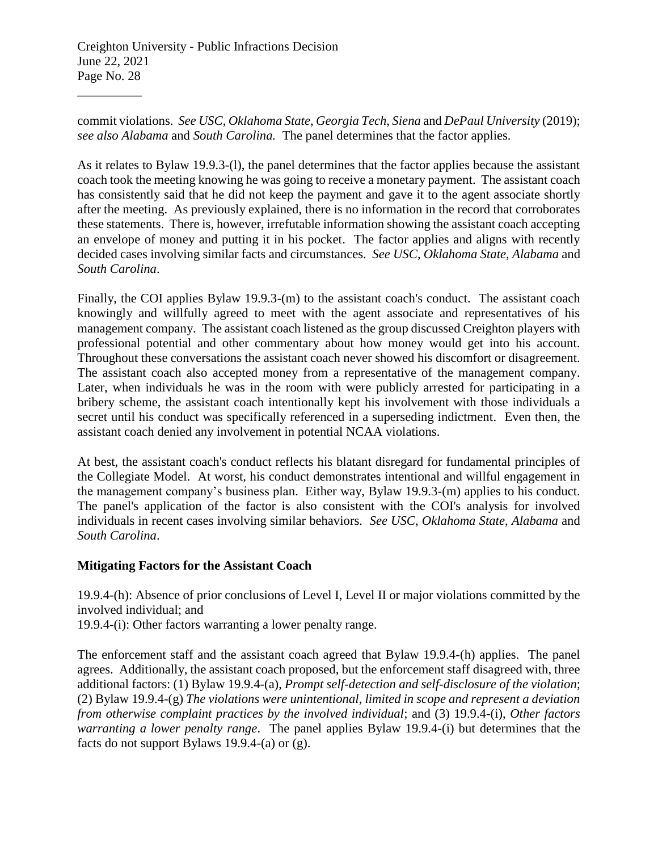\_\_\_\_\_\_\_\_\_\_

commit violations. *See USC*, *Oklahoma State*, *Georgia Tech*, *Siena* and *DePaul University* (2019); *see also Alabama* and *South Carolina.* The panel determines that the factor applies.

As it relates to Bylaw 19.9.3-(l), the panel determines that the factor applies because the assistant coach took the meeting knowing he was going to receive a monetary payment. The assistant coach has consistently said that he did not keep the payment and gave it to the agent associate shortly after the meeting. As previously explained, there is no information in the record that corroborates these statements. There is, however, irrefutable information showing the assistant coach accepting an envelope of money and putting it in his pocket. The factor applies and aligns with recently decided cases involving similar facts and circumstances. *See USC*, *Oklahoma State*, *Alabama* and *South Carolina*.

Finally, the COI applies Bylaw 19.9.3-(m) to the assistant coach's conduct. The assistant coach knowingly and willfully agreed to meet with the agent associate and representatives of his management company. The assistant coach listened as the group discussed Creighton players with professional potential and other commentary about how money would get into his account. Throughout these conversations the assistant coach never showed his discomfort or disagreement. The assistant coach also accepted money from a representative of the management company. Later, when individuals he was in the room with were publicly arrested for participating in a bribery scheme, the assistant coach intentionally kept his involvement with those individuals a secret until his conduct was specifically referenced in a superseding indictment. Even then, the assistant coach denied any involvement in potential NCAA violations.

At best, the assistant coach's conduct reflects his blatant disregard for fundamental principles of the Collegiate Model. At worst, his conduct demonstrates intentional and willful engagement in the management company's business plan. Either way, Bylaw 19.9.3-(m) applies to his conduct. The panel's application of the factor is also consistent with the COI's analysis for involved individuals in recent cases involving similar behaviors. *See USC*, *Oklahoma State*, *Alabama* and *South Carolina*.

### **Mitigating Factors for the Assistant Coach**

19.9.4-(h): Absence of prior conclusions of Level I, Level II or major violations committed by the involved individual; and

19.9.4-(i): Other factors warranting a lower penalty range.

The enforcement staff and the assistant coach agreed that Bylaw 19.9.4-(h) applies. The panel agrees. Additionally, the assistant coach proposed, but the enforcement staff disagreed with, three additional factors: (1) Bylaw 19.9.4-(a), *Prompt self-detection and self-disclosure of the violation*; (2) Bylaw 19.9.4-(g) *The violations were unintentional, limited in scope and represent a deviation from otherwise complaint practices by the involved individual*; and (3) 19.9.4-(i), *Other factors warranting a lower penalty range*. The panel applies Bylaw 19.9.4-(i) but determines that the facts do not support Bylaws 19.9.4-(a) or (g).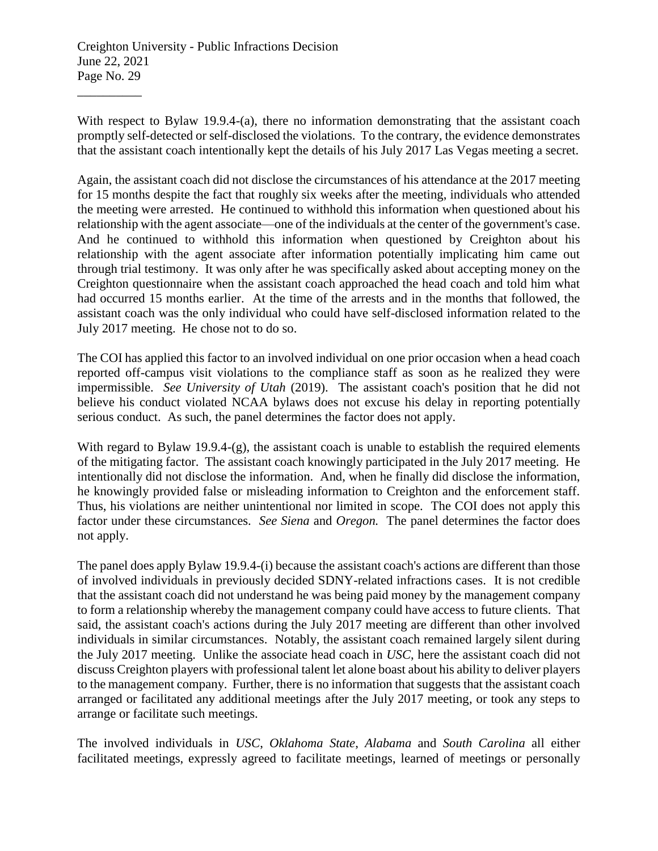With respect to Bylaw 19.9.4-(a), there no information demonstrating that the assistant coach promptly self-detected or self-disclosed the violations. To the contrary, the evidence demonstrates that the assistant coach intentionally kept the details of his July 2017 Las Vegas meeting a secret.

Again, the assistant coach did not disclose the circumstances of his attendance at the 2017 meeting for 15 months despite the fact that roughly six weeks after the meeting, individuals who attended the meeting were arrested. He continued to withhold this information when questioned about his relationship with the agent associate—one of the individuals at the center of the government's case. And he continued to withhold this information when questioned by Creighton about his relationship with the agent associate after information potentially implicating him came out through trial testimony. It was only after he was specifically asked about accepting money on the Creighton questionnaire when the assistant coach approached the head coach and told him what had occurred 15 months earlier. At the time of the arrests and in the months that followed, the assistant coach was the only individual who could have self-disclosed information related to the July 2017 meeting. He chose not to do so.

The COI has applied this factor to an involved individual on one prior occasion when a head coach reported off-campus visit violations to the compliance staff as soon as he realized they were impermissible. *See University of Utah* (2019). The assistant coach's position that he did not believe his conduct violated NCAA bylaws does not excuse his delay in reporting potentially serious conduct. As such, the panel determines the factor does not apply.

With regard to Bylaw 19.9.4- $(g)$ , the assistant coach is unable to establish the required elements of the mitigating factor. The assistant coach knowingly participated in the July 2017 meeting. He intentionally did not disclose the information. And, when he finally did disclose the information, he knowingly provided false or misleading information to Creighton and the enforcement staff. Thus, his violations are neither unintentional nor limited in scope. The COI does not apply this factor under these circumstances. *See Siena* and *Oregon.* The panel determines the factor does not apply.

The panel does apply Bylaw 19.9.4-(i) because the assistant coach's actions are different than those of involved individuals in previously decided SDNY-related infractions cases. It is not credible that the assistant coach did not understand he was being paid money by the management company to form a relationship whereby the management company could have access to future clients. That said, the assistant coach's actions during the July 2017 meeting are different than other involved individuals in similar circumstances. Notably, the assistant coach remained largely silent during the July 2017 meeting. Unlike the associate head coach in *USC*, here the assistant coach did not discuss Creighton players with professional talent let alone boast about his ability to deliver players to the management company. Further, there is no information that suggests that the assistant coach arranged or facilitated any additional meetings after the July 2017 meeting, or took any steps to arrange or facilitate such meetings.

The involved individuals in *USC*, *Oklahoma State*, *Alabama* and *South Carolina* all either facilitated meetings, expressly agreed to facilitate meetings, learned of meetings or personally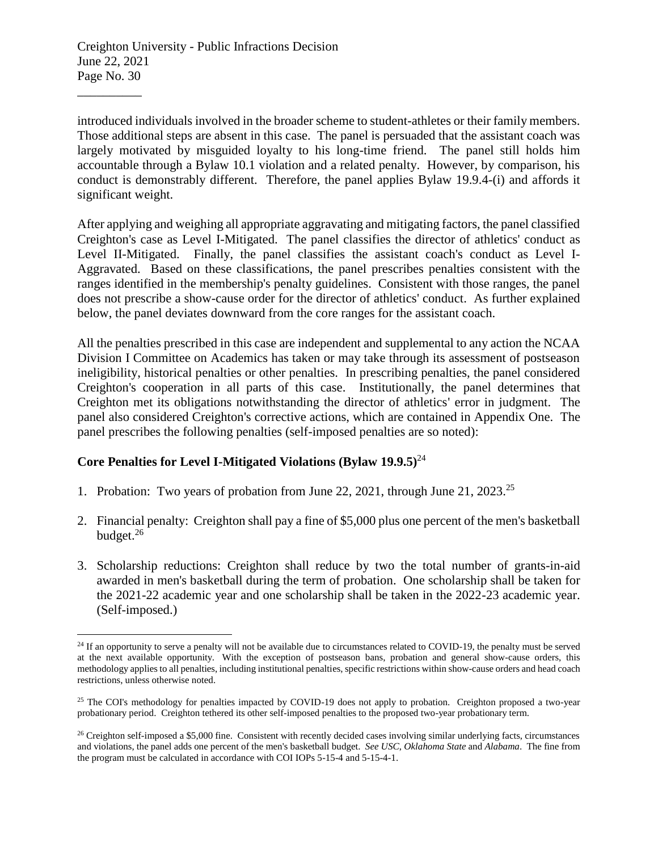\_\_\_\_\_\_\_\_\_\_

 $\overline{a}$ 

introduced individuals involved in the broader scheme to student-athletes or their family members. Those additional steps are absent in this case. The panel is persuaded that the assistant coach was largely motivated by misguided loyalty to his long-time friend. The panel still holds him accountable through a Bylaw 10.1 violation and a related penalty. However, by comparison, his conduct is demonstrably different. Therefore, the panel applies Bylaw 19.9.4-(i) and affords it significant weight.

After applying and weighing all appropriate aggravating and mitigating factors, the panel classified Creighton's case as Level I-Mitigated. The panel classifies the director of athletics' conduct as Level II-Mitigated. Finally, the panel classifies the assistant coach's conduct as Level I-Aggravated. Based on these classifications, the panel prescribes penalties consistent with the ranges identified in the membership's penalty guidelines. Consistent with those ranges, the panel does not prescribe a show-cause order for the director of athletics' conduct. As further explained below, the panel deviates downward from the core ranges for the assistant coach.

All the penalties prescribed in this case are independent and supplemental to any action the NCAA Division I Committee on Academics has taken or may take through its assessment of postseason ineligibility, historical penalties or other penalties. In prescribing penalties, the panel considered Creighton's cooperation in all parts of this case. Institutionally, the panel determines that Creighton met its obligations notwithstanding the director of athletics' error in judgment. The panel also considered Creighton's corrective actions, which are contained in Appendix One. The panel prescribes the following penalties (self-imposed penalties are so noted):

# **Core Penalties for Level I-Mitigated Violations (Bylaw 19.9.5)**<sup>24</sup>

- 1. Probation: Two years of probation from June 22, 2021, through June 21, 2023. 25
- 2. Financial penalty: Creighton shall pay a fine of \$5,000 plus one percent of the men's basketball budget. 26
- 3. Scholarship reductions: Creighton shall reduce by two the total number of grants-in-aid awarded in men's basketball during the term of probation. One scholarship shall be taken for the 2021-22 academic year and one scholarship shall be taken in the 2022-23 academic year. (Self-imposed.)

<sup>&</sup>lt;sup>24</sup> If an opportunity to serve a penalty will not be available due to circumstances related to COVID-19, the penalty must be served at the next available opportunity. With the exception of postseason bans, probation and general show-cause orders, this methodology applies to all penalties, including institutional penalties, specific restrictions within show-cause orders and head coach restrictions, unless otherwise noted.

<sup>&</sup>lt;sup>25</sup> The COI's methodology for penalties impacted by COVID-19 does not apply to probation. Creighton proposed a two-year probationary period. Creighton tethered its other self-imposed penalties to the proposed two-year probationary term.

 $26$  Creighton self-imposed a \$5,000 fine. Consistent with recently decided cases involving similar underlying facts, circumstances and violations, the panel adds one percent of the men's basketball budget. *See USC*, *Oklahoma State* and *Alabama*. The fine from the program must be calculated in accordance with COI IOPs 5-15-4 and 5-15-4-1.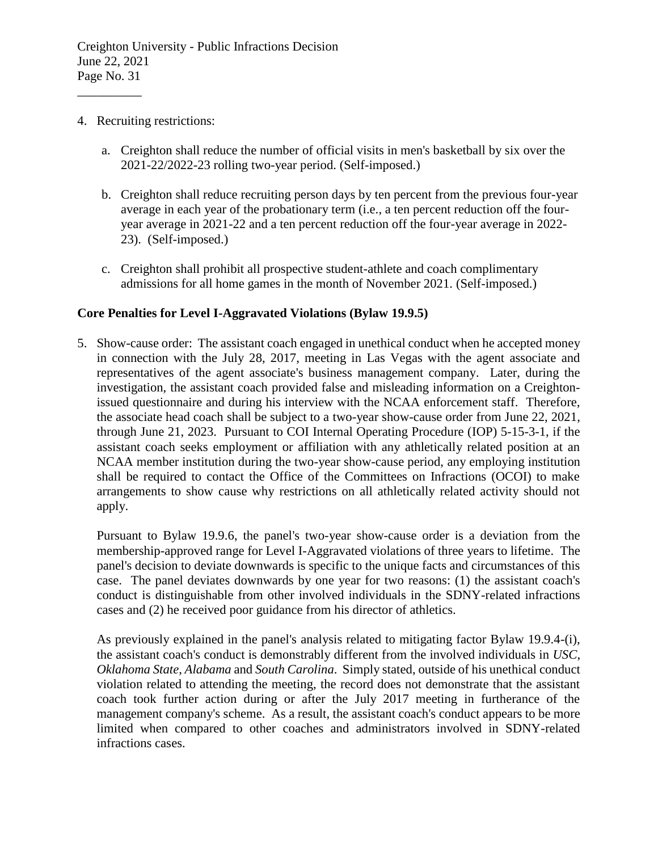4. Recruiting restrictions:

\_\_\_\_\_\_\_\_\_\_

- a. Creighton shall reduce the number of official visits in men's basketball by six over the 2021-22/2022-23 rolling two-year period. (Self-imposed.)
- b. Creighton shall reduce recruiting person days by ten percent from the previous four-year average in each year of the probationary term (i.e., a ten percent reduction off the fouryear average in 2021-22 and a ten percent reduction off the four-year average in 2022- 23). (Self-imposed.)
- c. Creighton shall prohibit all prospective student-athlete and coach complimentary admissions for all home games in the month of November 2021. (Self-imposed.)

#### **Core Penalties for Level I-Aggravated Violations (Bylaw 19.9.5)**

5. Show-cause order: The assistant coach engaged in unethical conduct when he accepted money in connection with the July 28, 2017, meeting in Las Vegas with the agent associate and representatives of the agent associate's business management company. Later, during the investigation, the assistant coach provided false and misleading information on a Creightonissued questionnaire and during his interview with the NCAA enforcement staff. Therefore, the associate head coach shall be subject to a two-year show-cause order from June 22, 2021, through June 21, 2023. Pursuant to COI Internal Operating Procedure (IOP) 5-15-3-1, if the assistant coach seeks employment or affiliation with any athletically related position at an NCAA member institution during the two-year show-cause period, any employing institution shall be required to contact the Office of the Committees on Infractions (OCOI) to make arrangements to show cause why restrictions on all athletically related activity should not apply.

Pursuant to Bylaw 19.9.6, the panel's two-year show-cause order is a deviation from the membership-approved range for Level I-Aggravated violations of three years to lifetime. The panel's decision to deviate downwards is specific to the unique facts and circumstances of this case. The panel deviates downwards by one year for two reasons: (1) the assistant coach's conduct is distinguishable from other involved individuals in the SDNY-related infractions cases and (2) he received poor guidance from his director of athletics.

As previously explained in the panel's analysis related to mitigating factor Bylaw 19.9.4-(i), the assistant coach's conduct is demonstrably different from the involved individuals in *USC*, *Oklahoma State*, *Alabama* and *South Carolina*. Simply stated, outside of his unethical conduct violation related to attending the meeting, the record does not demonstrate that the assistant coach took further action during or after the July 2017 meeting in furtherance of the management company's scheme. As a result, the assistant coach's conduct appears to be more limited when compared to other coaches and administrators involved in SDNY-related infractions cases.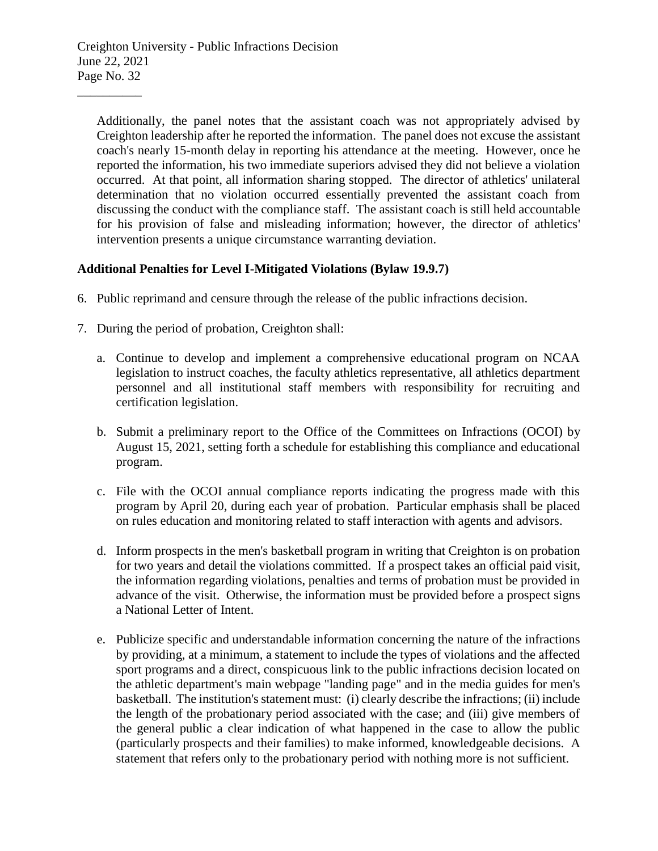Additionally, the panel notes that the assistant coach was not appropriately advised by Creighton leadership after he reported the information. The panel does not excuse the assistant coach's nearly 15-month delay in reporting his attendance at the meeting. However, once he reported the information, his two immediate superiors advised they did not believe a violation occurred. At that point, all information sharing stopped. The director of athletics' unilateral determination that no violation occurred essentially prevented the assistant coach from discussing the conduct with the compliance staff. The assistant coach is still held accountable for his provision of false and misleading information; however, the director of athletics' intervention presents a unique circumstance warranting deviation.

### **Additional Penalties for Level I-Mitigated Violations (Bylaw 19.9.7)**

- 6. Public reprimand and censure through the release of the public infractions decision.
- 7. During the period of probation, Creighton shall:
	- a. Continue to develop and implement a comprehensive educational program on NCAA legislation to instruct coaches, the faculty athletics representative, all athletics department personnel and all institutional staff members with responsibility for recruiting and certification legislation.
	- b. Submit a preliminary report to the Office of the Committees on Infractions (OCOI) by August 15, 2021, setting forth a schedule for establishing this compliance and educational program.
	- c. File with the OCOI annual compliance reports indicating the progress made with this program by April 20, during each year of probation. Particular emphasis shall be placed on rules education and monitoring related to staff interaction with agents and advisors.
	- d. Inform prospects in the men's basketball program in writing that Creighton is on probation for two years and detail the violations committed. If a prospect takes an official paid visit, the information regarding violations, penalties and terms of probation must be provided in advance of the visit. Otherwise, the information must be provided before a prospect signs a National Letter of Intent.
	- e. Publicize specific and understandable information concerning the nature of the infractions by providing, at a minimum, a statement to include the types of violations and the affected sport programs and a direct, conspicuous link to the public infractions decision located on the athletic department's main webpage "landing page" and in the media guides for men's basketball. The institution's statement must: (i) clearly describe the infractions; (ii) include the length of the probationary period associated with the case; and (iii) give members of the general public a clear indication of what happened in the case to allow the public (particularly prospects and their families) to make informed, knowledgeable decisions. A statement that refers only to the probationary period with nothing more is not sufficient.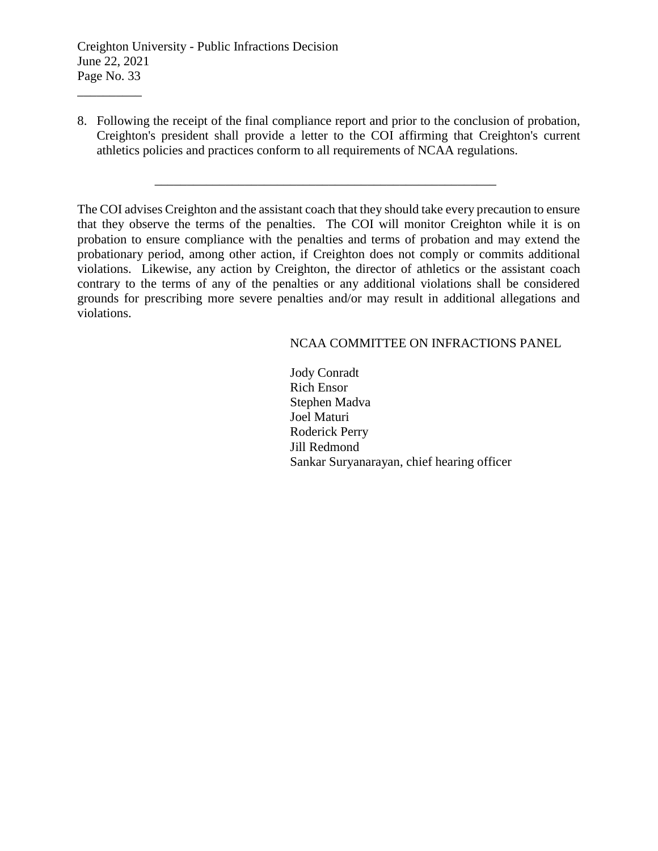\_\_\_\_\_\_\_\_\_\_

8. Following the receipt of the final compliance report and prior to the conclusion of probation, Creighton's president shall provide a letter to the COI affirming that Creighton's current athletics policies and practices conform to all requirements of NCAA regulations.

\_\_\_\_\_\_\_\_\_\_\_\_\_\_\_\_\_\_\_\_\_\_\_\_\_\_\_\_\_\_\_\_\_\_\_\_\_\_\_\_\_\_\_\_\_\_\_\_\_\_\_\_\_

The COI advises Creighton and the assistant coach that they should take every precaution to ensure that they observe the terms of the penalties. The COI will monitor Creighton while it is on probation to ensure compliance with the penalties and terms of probation and may extend the probationary period, among other action, if Creighton does not comply or commits additional violations. Likewise, any action by Creighton, the director of athletics or the assistant coach contrary to the terms of any of the penalties or any additional violations shall be considered grounds for prescribing more severe penalties and/or may result in additional allegations and violations.

#### NCAA COMMITTEE ON INFRACTIONS PANEL

Jody Conradt Rich Ensor Stephen Madva Joel Maturi Roderick Perry Jill Redmond Sankar Suryanarayan, chief hearing officer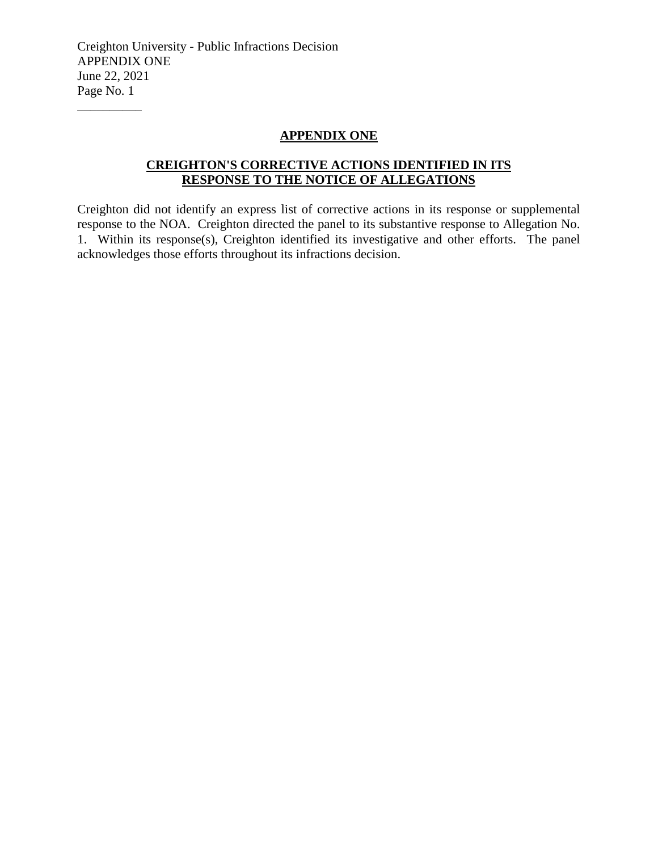#### **APPENDIX ONE**

# **CREIGHTON'S CORRECTIVE ACTIONS IDENTIFIED IN ITS RESPONSE TO THE NOTICE OF ALLEGATIONS**

Creighton did not identify an express list of corrective actions in its response or supplemental response to the NOA. Creighton directed the panel to its substantive response to Allegation No. 1. Within its response(s), Creighton identified its investigative and other efforts. The panel acknowledges those efforts throughout its infractions decision.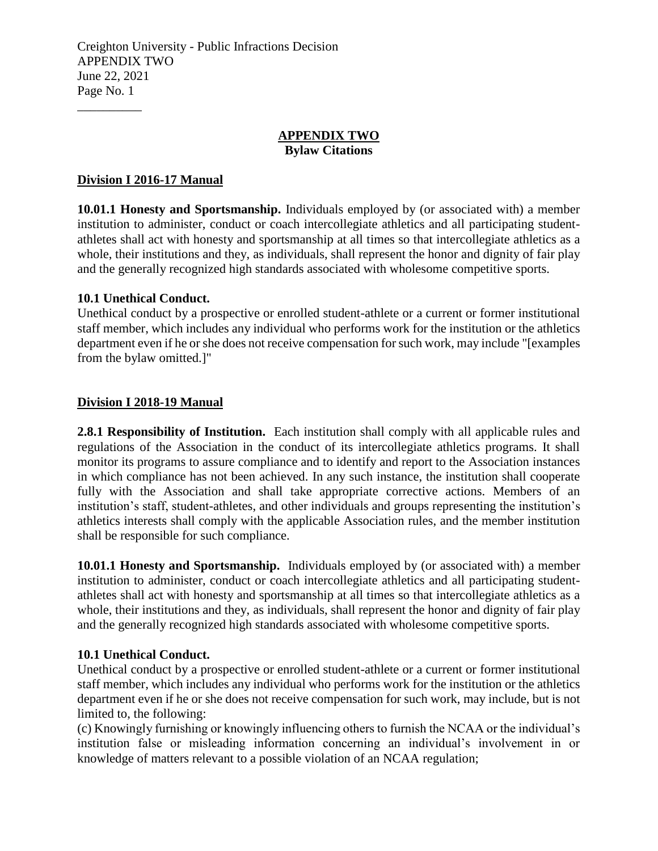#### **APPENDIX TWO Bylaw Citations**

### **Division I 2016-17 Manual**

\_\_\_\_\_\_\_\_\_\_

**10.01.1 Honesty and Sportsmanship.** Individuals employed by (or associated with) a member institution to administer, conduct or coach intercollegiate athletics and all participating studentathletes shall act with honesty and sportsmanship at all times so that intercollegiate athletics as a whole, their institutions and they, as individuals, shall represent the honor and dignity of fair play and the generally recognized high standards associated with wholesome competitive sports.

#### **10.1 Unethical Conduct.**

Unethical conduct by a prospective or enrolled student-athlete or a current or former institutional staff member, which includes any individual who performs work for the institution or the athletics department even if he or she does not receive compensation for such work, may include "[examples from the bylaw omitted.]"

#### **Division I 2018-19 Manual**

**2.8.1 Responsibility of Institution.** Each institution shall comply with all applicable rules and regulations of the Association in the conduct of its intercollegiate athletics programs. It shall monitor its programs to assure compliance and to identify and report to the Association instances in which compliance has not been achieved. In any such instance, the institution shall cooperate fully with the Association and shall take appropriate corrective actions. Members of an institution's staff, student-athletes, and other individuals and groups representing the institution's athletics interests shall comply with the applicable Association rules, and the member institution shall be responsible for such compliance.

**10.01.1 Honesty and Sportsmanship.** Individuals employed by (or associated with) a member institution to administer, conduct or coach intercollegiate athletics and all participating studentathletes shall act with honesty and sportsmanship at all times so that intercollegiate athletics as a whole, their institutions and they, as individuals, shall represent the honor and dignity of fair play and the generally recognized high standards associated with wholesome competitive sports.

#### **10.1 Unethical Conduct.**

Unethical conduct by a prospective or enrolled student-athlete or a current or former institutional staff member, which includes any individual who performs work for the institution or the athletics department even if he or she does not receive compensation for such work, may include, but is not limited to, the following:

(c) Knowingly furnishing or knowingly influencing others to furnish the NCAA or the individual's institution false or misleading information concerning an individual's involvement in or knowledge of matters relevant to a possible violation of an NCAA regulation;